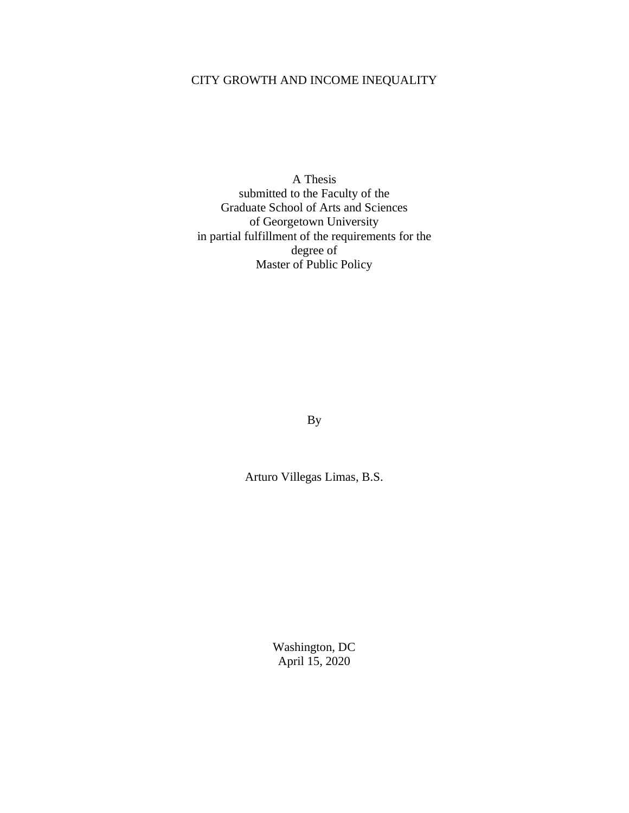## CITY GROWTH AND INCOME INEQUALITY

A Thesis submitted to the Faculty of the Graduate School of Arts and Sciences of Georgetown University in partial fulfillment of the requirements for the degree of Master of Public Policy

By

Arturo Villegas Limas, B.S.

Washington, DC April 15, 2020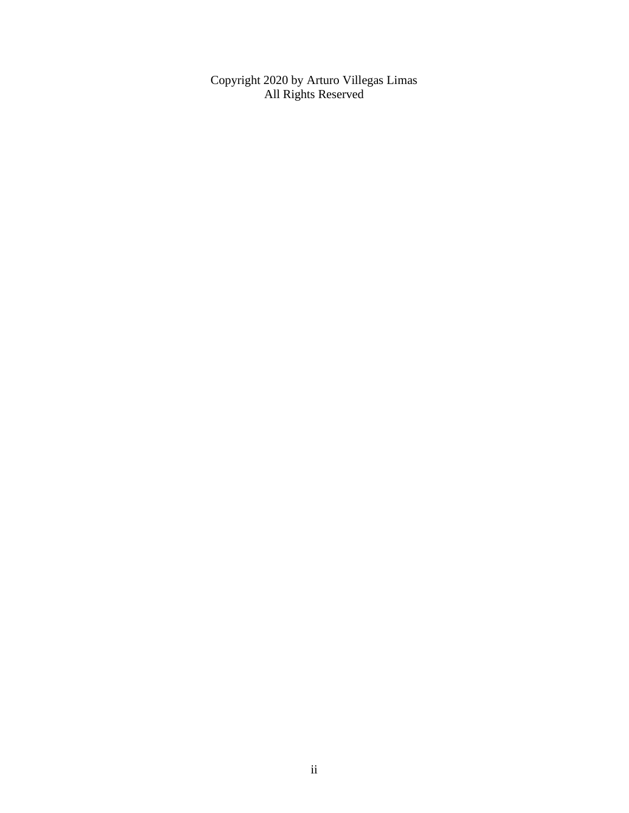Copyright 2020 by Arturo Villegas Limas All Rights Reserved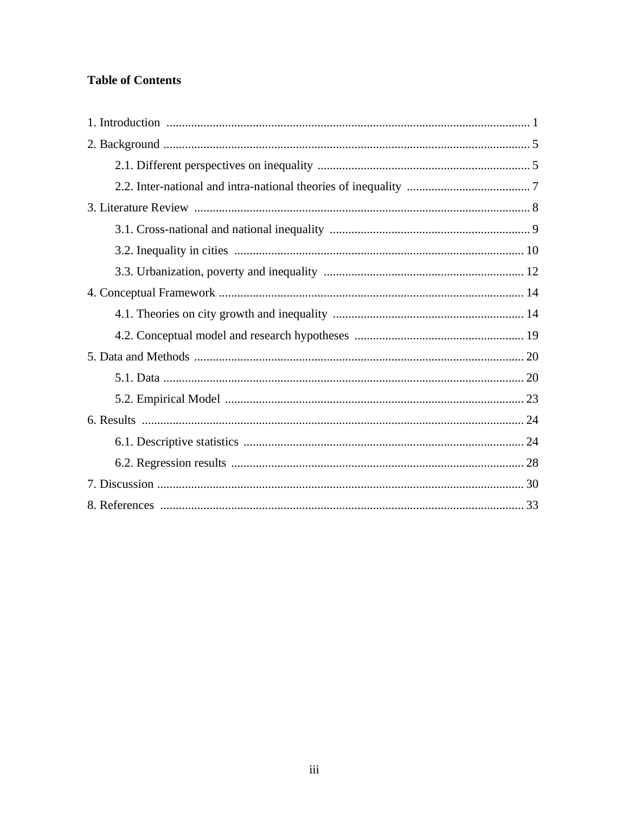## **Table of Contents**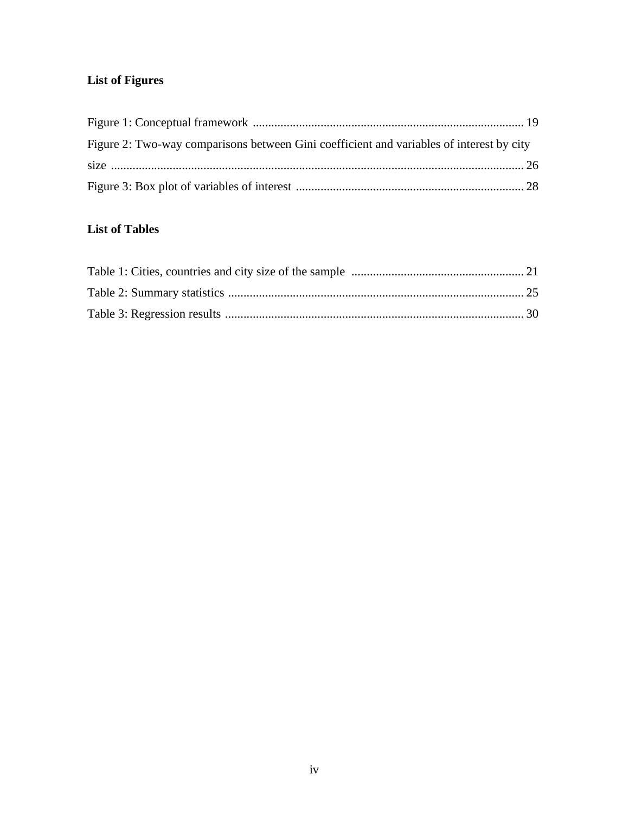# **List of Figures**

| Figure 2: Two-way comparisons between Gini coefficient and variables of interest by city |  |
|------------------------------------------------------------------------------------------|--|
|                                                                                          |  |
|                                                                                          |  |

# **List of Tables**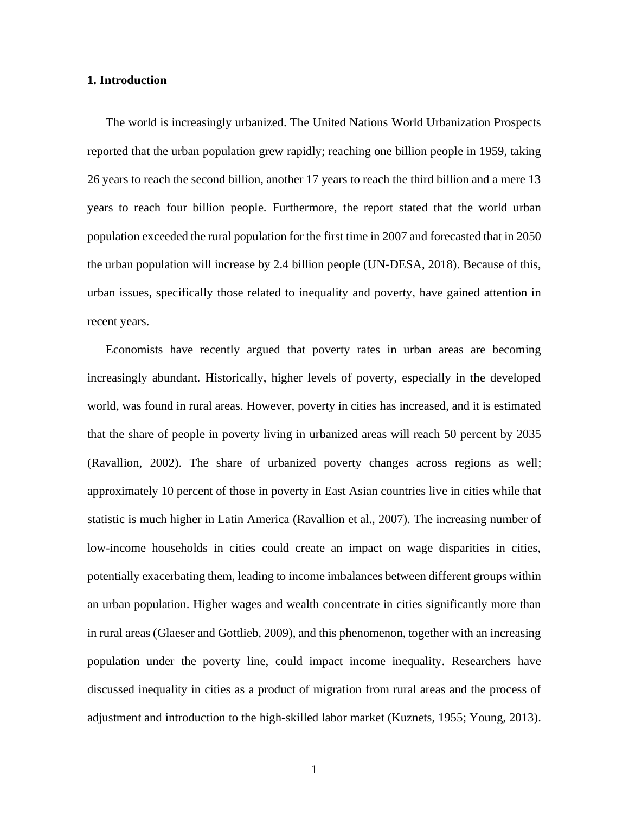### **1. Introduction**

The world is increasingly urbanized. The United Nations World Urbanization Prospects reported that the urban population grew rapidly; reaching one billion people in 1959, taking 26 years to reach the second billion, another 17 years to reach the third billion and a mere 13 years to reach four billion people. Furthermore, the report stated that the world urban population exceeded the rural population for the first time in 2007 and forecasted that in 2050 the urban population will increase by 2.4 billion people (UN-DESA, 2018). Because of this, urban issues, specifically those related to inequality and poverty, have gained attention in recent years.

Economists have recently argued that poverty rates in urban areas are becoming increasingly abundant. Historically, higher levels of poverty, especially in the developed world, was found in rural areas. However, poverty in cities has increased, and it is estimated that the share of people in poverty living in urbanized areas will reach 50 percent by 2035 (Ravallion, 2002). The share of urbanized poverty changes across regions as well; approximately 10 percent of those in poverty in East Asian countries live in cities while that statistic is much higher in Latin America (Ravallion et al., 2007). The increasing number of low-income households in cities could create an impact on wage disparities in cities, potentially exacerbating them, leading to income imbalances between different groups within an urban population. Higher wages and wealth concentrate in cities significantly more than in rural areas (Glaeser and Gottlieb, 2009), and this phenomenon, together with an increasing population under the poverty line, could impact income inequality. Researchers have discussed inequality in cities as a product of migration from rural areas and the process of adjustment and introduction to the high-skilled labor market (Kuznets, 1955; Young, 2013).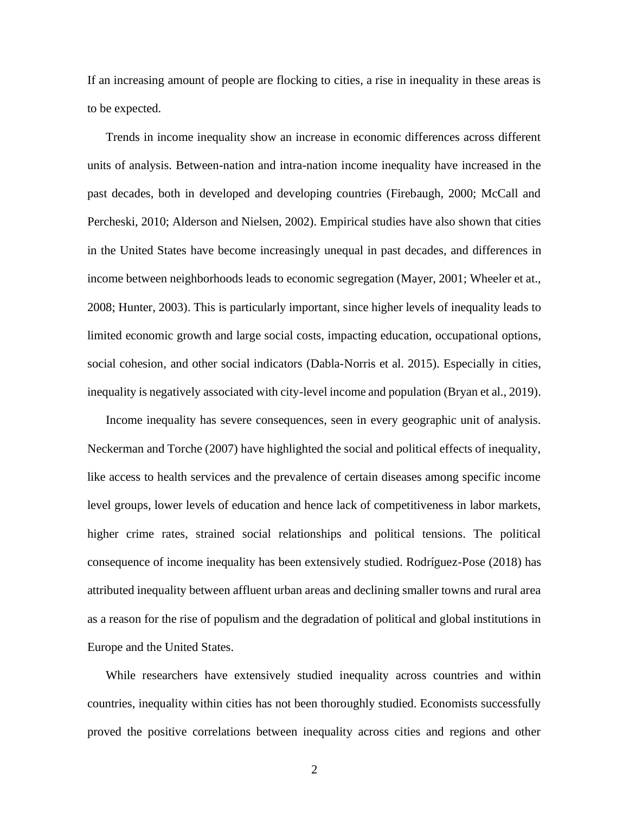If an increasing amount of people are flocking to cities, a rise in inequality in these areas is to be expected.

Trends in income inequality show an increase in economic differences across different units of analysis. Between-nation and intra-nation income inequality have increased in the past decades, both in developed and developing countries (Firebaugh, 2000; McCall and Percheski, 2010; Alderson and Nielsen, 2002). Empirical studies have also shown that cities in the United States have become increasingly unequal in past decades, and differences in income between neighborhoods leads to economic segregation (Mayer, 2001; Wheeler et at., 2008; Hunter, 2003). This is particularly important, since higher levels of inequality leads to limited economic growth and large social costs, impacting education, occupational options, social cohesion, and other social indicators (Dabla-Norris et al. 2015). Especially in cities, inequality is negatively associated with city-level income and population (Bryan et al., 2019).

Income inequality has severe consequences, seen in every geographic unit of analysis. Neckerman and Torche (2007) have highlighted the social and political effects of inequality, like access to health services and the prevalence of certain diseases among specific income level groups, lower levels of education and hence lack of competitiveness in labor markets, higher crime rates, strained social relationships and political tensions. The political consequence of income inequality has been extensively studied. Rodríguez-Pose (2018) has attributed inequality between affluent urban areas and declining smaller towns and rural area as a reason for the rise of populism and the degradation of political and global institutions in Europe and the United States.

While researchers have extensively studied inequality across countries and within countries, inequality within cities has not been thoroughly studied. Economists successfully proved the positive correlations between inequality across cities and regions and other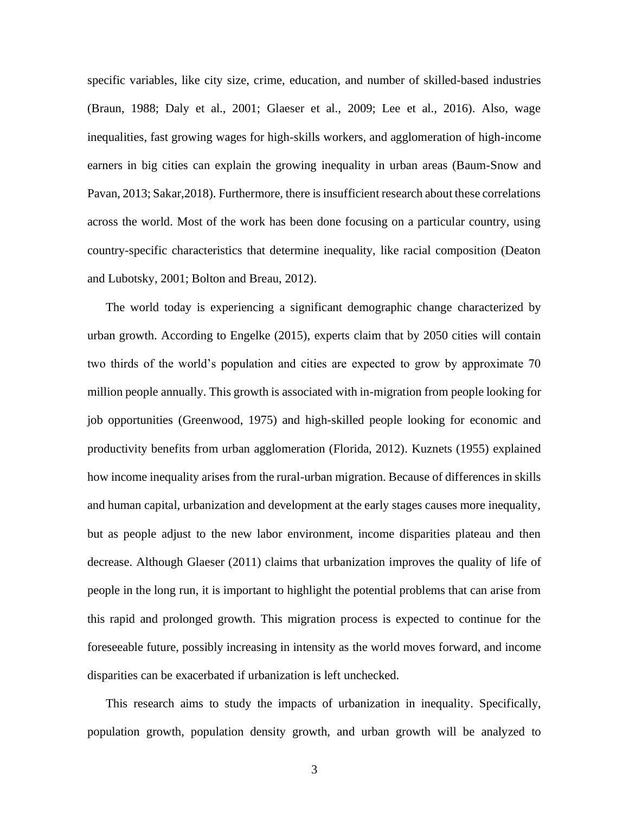specific variables, like city size, crime, education, and number of skilled-based industries (Braun, 1988; Daly et al., 2001; Glaeser et al., 2009; Lee et al., 2016). Also, wage inequalities, fast growing wages for high-skills workers, and agglomeration of high-income earners in big cities can explain the growing inequality in urban areas (Baum-Snow and Pavan, 2013; Sakar,2018). Furthermore, there is insufficient research about these correlations across the world. Most of the work has been done focusing on a particular country, using country-specific characteristics that determine inequality, like racial composition (Deaton and Lubotsky, 2001; Bolton and Breau, 2012).

The world today is experiencing a significant demographic change characterized by urban growth. According to Engelke (2015), experts claim that by 2050 cities will contain two thirds of the world's population and cities are expected to grow by approximate 70 million people annually. This growth is associated with in-migration from people looking for job opportunities (Greenwood, 1975) and high-skilled people looking for economic and productivity benefits from urban agglomeration (Florida, 2012). Kuznets (1955) explained how income inequality arises from the rural-urban migration. Because of differences in skills and human capital, urbanization and development at the early stages causes more inequality, but as people adjust to the new labor environment, income disparities plateau and then decrease. Although Glaeser (2011) claims that urbanization improves the quality of life of people in the long run, it is important to highlight the potential problems that can arise from this rapid and prolonged growth. This migration process is expected to continue for the foreseeable future, possibly increasing in intensity as the world moves forward, and income disparities can be exacerbated if urbanization is left unchecked.

This research aims to study the impacts of urbanization in inequality. Specifically, population growth, population density growth, and urban growth will be analyzed to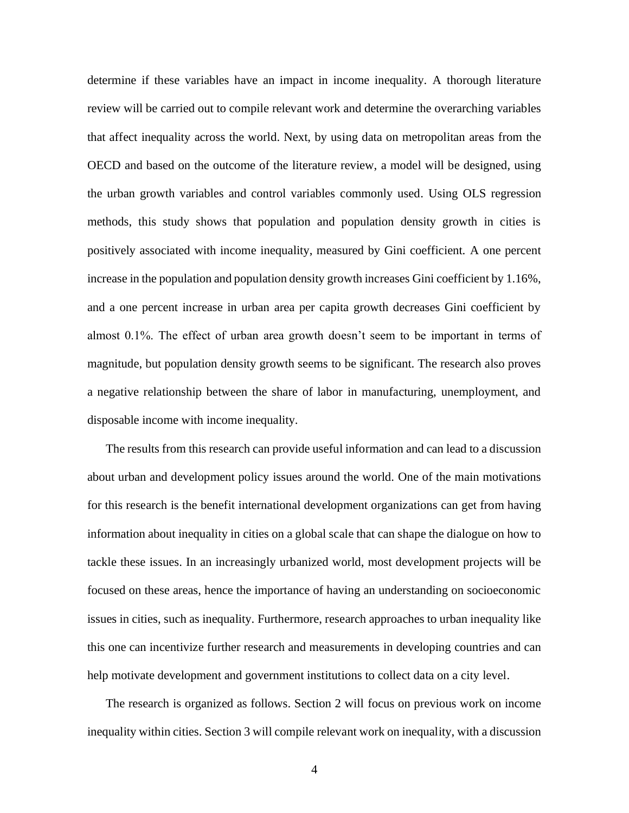determine if these variables have an impact in income inequality. A thorough literature review will be carried out to compile relevant work and determine the overarching variables that affect inequality across the world. Next, by using data on metropolitan areas from the OECD and based on the outcome of the literature review, a model will be designed, using the urban growth variables and control variables commonly used. Using OLS regression methods, this study shows that population and population density growth in cities is positively associated with income inequality, measured by Gini coefficient. A one percent increase in the population and population density growth increases Gini coefficient by 1.16%, and a one percent increase in urban area per capita growth decreases Gini coefficient by almost 0.1%. The effect of urban area growth doesn't seem to be important in terms of magnitude, but population density growth seems to be significant. The research also proves a negative relationship between the share of labor in manufacturing, unemployment, and disposable income with income inequality.

The results from this research can provide useful information and can lead to a discussion about urban and development policy issues around the world. One of the main motivations for this research is the benefit international development organizations can get from having information about inequality in cities on a global scale that can shape the dialogue on how to tackle these issues. In an increasingly urbanized world, most development projects will be focused on these areas, hence the importance of having an understanding on socioeconomic issues in cities, such as inequality. Furthermore, research approaches to urban inequality like this one can incentivize further research and measurements in developing countries and can help motivate development and government institutions to collect data on a city level.

The research is organized as follows. Section 2 will focus on previous work on income inequality within cities. Section 3 will compile relevant work on inequality, with a discussion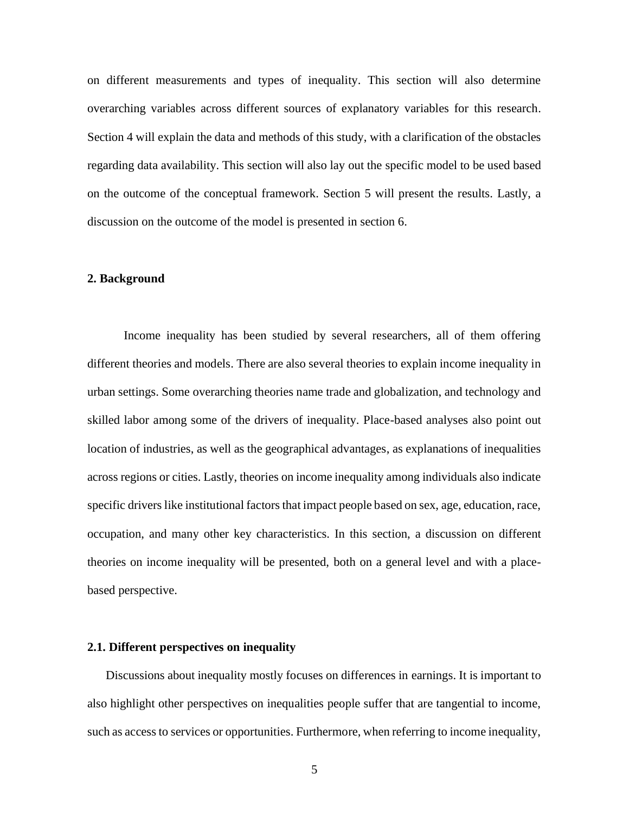on different measurements and types of inequality. This section will also determine overarching variables across different sources of explanatory variables for this research. Section 4 will explain the data and methods of this study, with a clarification of the obstacles regarding data availability. This section will also lay out the specific model to be used based on the outcome of the conceptual framework. Section 5 will present the results. Lastly, a discussion on the outcome of the model is presented in section 6.

### **2. Background**

Income inequality has been studied by several researchers, all of them offering different theories and models. There are also several theories to explain income inequality in urban settings. Some overarching theories name trade and globalization, and technology and skilled labor among some of the drivers of inequality. Place-based analyses also point out location of industries, as well as the geographical advantages, as explanations of inequalities across regions or cities. Lastly, theories on income inequality among individuals also indicate specific drivers like institutional factors that impact people based on sex, age, education, race, occupation, and many other key characteristics. In this section, a discussion on different theories on income inequality will be presented, both on a general level and with a placebased perspective.

#### **2.1. Different perspectives on inequality**

Discussions about inequality mostly focuses on differences in earnings. It is important to also highlight other perspectives on inequalities people suffer that are tangential to income, such as access to services or opportunities. Furthermore, when referring to income inequality,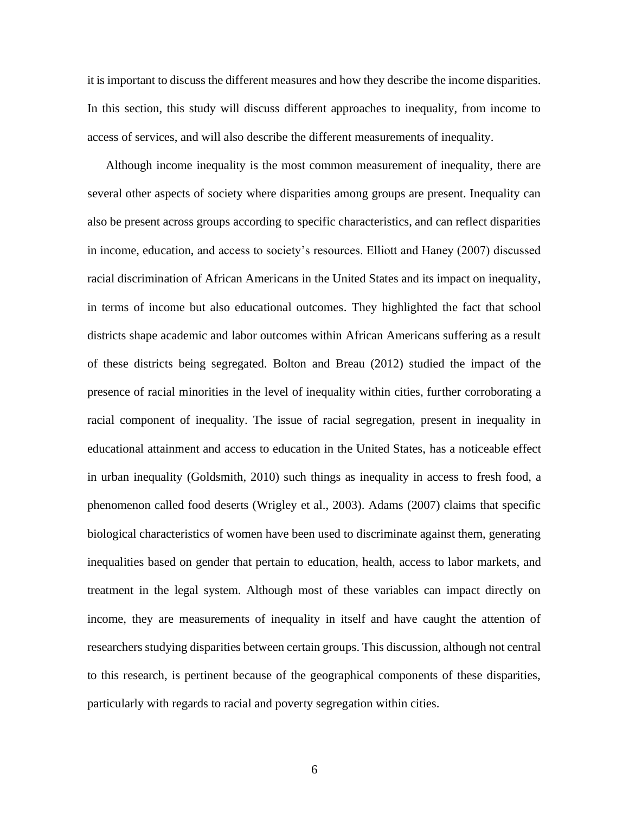it is important to discuss the different measures and how they describe the income disparities. In this section, this study will discuss different approaches to inequality, from income to access of services, and will also describe the different measurements of inequality.

Although income inequality is the most common measurement of inequality, there are several other aspects of society where disparities among groups are present. Inequality can also be present across groups according to specific characteristics, and can reflect disparities in income, education, and access to society's resources. Elliott and Haney (2007) discussed racial discrimination of African Americans in the United States and its impact on inequality, in terms of income but also educational outcomes. They highlighted the fact that school districts shape academic and labor outcomes within African Americans suffering as a result of these districts being segregated. Bolton and Breau (2012) studied the impact of the presence of racial minorities in the level of inequality within cities, further corroborating a racial component of inequality. The issue of racial segregation, present in inequality in educational attainment and access to education in the United States, has a noticeable effect in urban inequality (Goldsmith, 2010) such things as inequality in access to fresh food, a phenomenon called food deserts (Wrigley et al., 2003). Adams (2007) claims that specific biological characteristics of women have been used to discriminate against them, generating inequalities based on gender that pertain to education, health, access to labor markets, and treatment in the legal system. Although most of these variables can impact directly on income, they are measurements of inequality in itself and have caught the attention of researchers studying disparities between certain groups. This discussion, although not central to this research, is pertinent because of the geographical components of these disparities, particularly with regards to racial and poverty segregation within cities.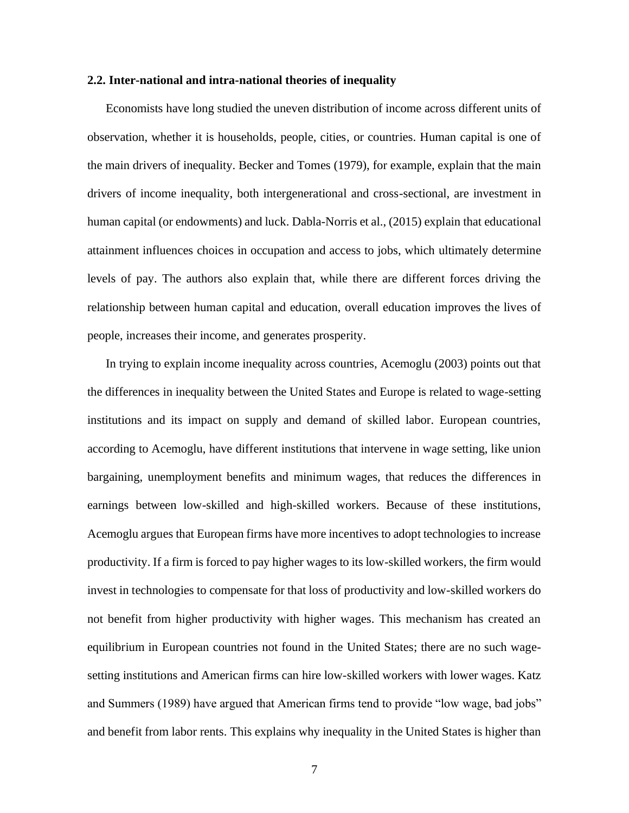#### **2.2. Inter-national and intra-national theories of inequality**

Economists have long studied the uneven distribution of income across different units of observation, whether it is households, people, cities, or countries. Human capital is one of the main drivers of inequality. Becker and Tomes (1979), for example, explain that the main drivers of income inequality, both intergenerational and cross-sectional, are investment in human capital (or endowments) and luck. Dabla-Norris et al., (2015) explain that educational attainment influences choices in occupation and access to jobs, which ultimately determine levels of pay. The authors also explain that, while there are different forces driving the relationship between human capital and education, overall education improves the lives of people, increases their income, and generates prosperity.

In trying to explain income inequality across countries, Acemoglu (2003) points out that the differences in inequality between the United States and Europe is related to wage-setting institutions and its impact on supply and demand of skilled labor. European countries, according to Acemoglu, have different institutions that intervene in wage setting, like union bargaining, unemployment benefits and minimum wages, that reduces the differences in earnings between low-skilled and high-skilled workers. Because of these institutions, Acemoglu argues that European firms have more incentives to adopt technologies to increase productivity. If a firm is forced to pay higher wages to its low-skilled workers, the firm would invest in technologies to compensate for that loss of productivity and low-skilled workers do not benefit from higher productivity with higher wages. This mechanism has created an equilibrium in European countries not found in the United States; there are no such wagesetting institutions and American firms can hire low-skilled workers with lower wages. Katz and Summers (1989) have argued that American firms tend to provide "low wage, bad jobs" and benefit from labor rents. This explains why inequality in the United States is higher than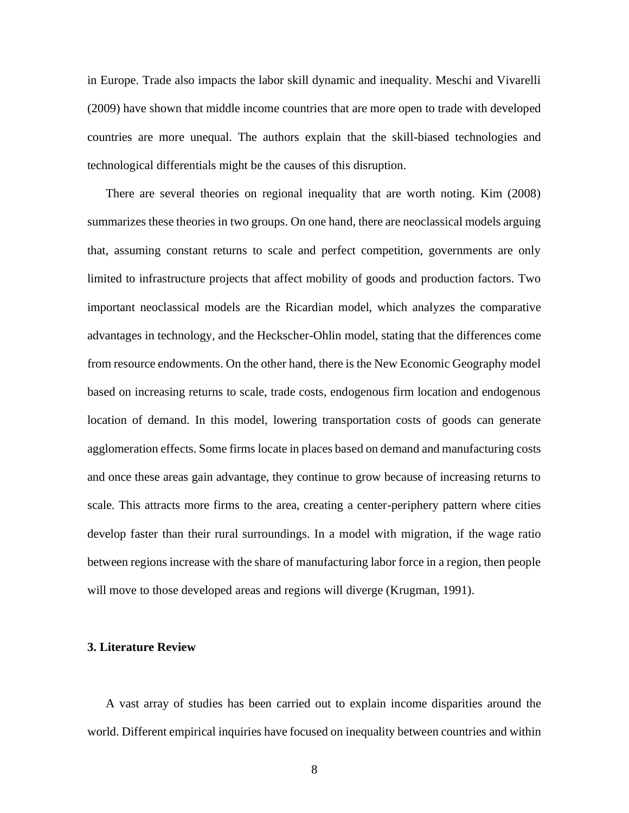in Europe. Trade also impacts the labor skill dynamic and inequality. Meschi and Vivarelli (2009) have shown that middle income countries that are more open to trade with developed countries are more unequal. The authors explain that the skill-biased technologies and technological differentials might be the causes of this disruption.

There are several theories on regional inequality that are worth noting. Kim (2008) summarizes these theories in two groups. On one hand, there are neoclassical models arguing that, assuming constant returns to scale and perfect competition, governments are only limited to infrastructure projects that affect mobility of goods and production factors. Two important neoclassical models are the Ricardian model, which analyzes the comparative advantages in technology, and the Heckscher-Ohlin model, stating that the differences come from resource endowments. On the other hand, there is the New Economic Geography model based on increasing returns to scale, trade costs, endogenous firm location and endogenous location of demand. In this model, lowering transportation costs of goods can generate agglomeration effects. Some firms locate in places based on demand and manufacturing costs and once these areas gain advantage, they continue to grow because of increasing returns to scale. This attracts more firms to the area, creating a center-periphery pattern where cities develop faster than their rural surroundings. In a model with migration, if the wage ratio between regions increase with the share of manufacturing labor force in a region, then people will move to those developed areas and regions will diverge (Krugman, 1991).

#### **3. Literature Review**

A vast array of studies has been carried out to explain income disparities around the world. Different empirical inquiries have focused on inequality between countries and within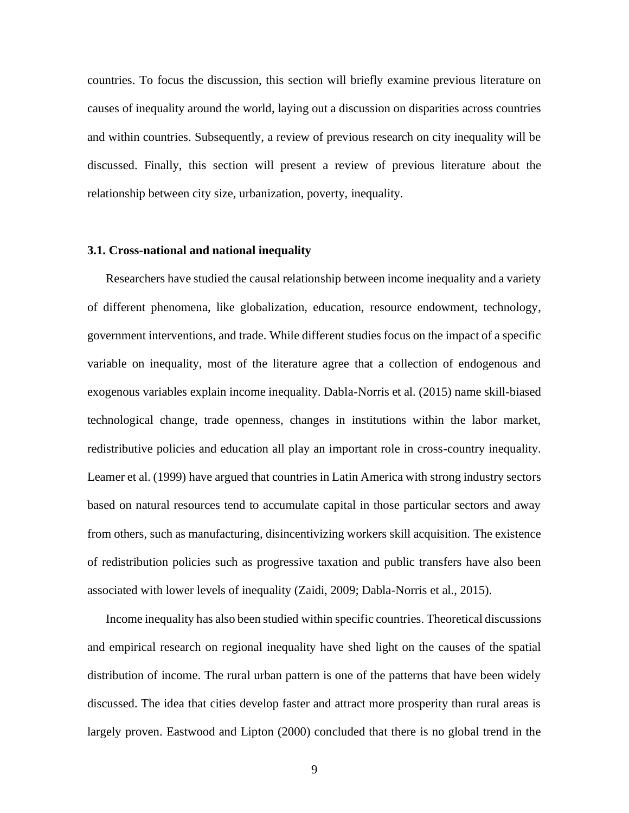countries. To focus the discussion, this section will briefly examine previous literature on causes of inequality around the world, laying out a discussion on disparities across countries and within countries. Subsequently, a review of previous research on city inequality will be discussed. Finally, this section will present a review of previous literature about the relationship between city size, urbanization, poverty, inequality.

#### **3.1. Cross-national and national inequality**

Researchers have studied the causal relationship between income inequality and a variety of different phenomena, like globalization, education, resource endowment, technology, government interventions, and trade. While different studies focus on the impact of a specific variable on inequality, most of the literature agree that a collection of endogenous and exogenous variables explain income inequality. Dabla-Norris et al. (2015) name skill-biased technological change, trade openness, changes in institutions within the labor market, redistributive policies and education all play an important role in cross-country inequality. Leamer et al. (1999) have argued that countries in Latin America with strong industry sectors based on natural resources tend to accumulate capital in those particular sectors and away from others, such as manufacturing, disincentivizing workers skill acquisition. The existence of redistribution policies such as progressive taxation and public transfers have also been associated with lower levels of inequality (Zaidi, 2009; Dabla-Norris et al., 2015).

Income inequality has also been studied within specific countries. Theoretical discussions and empirical research on regional inequality have shed light on the causes of the spatial distribution of income. The rural urban pattern is one of the patterns that have been widely discussed. The idea that cities develop faster and attract more prosperity than rural areas is largely proven. Eastwood and Lipton (2000) concluded that there is no global trend in the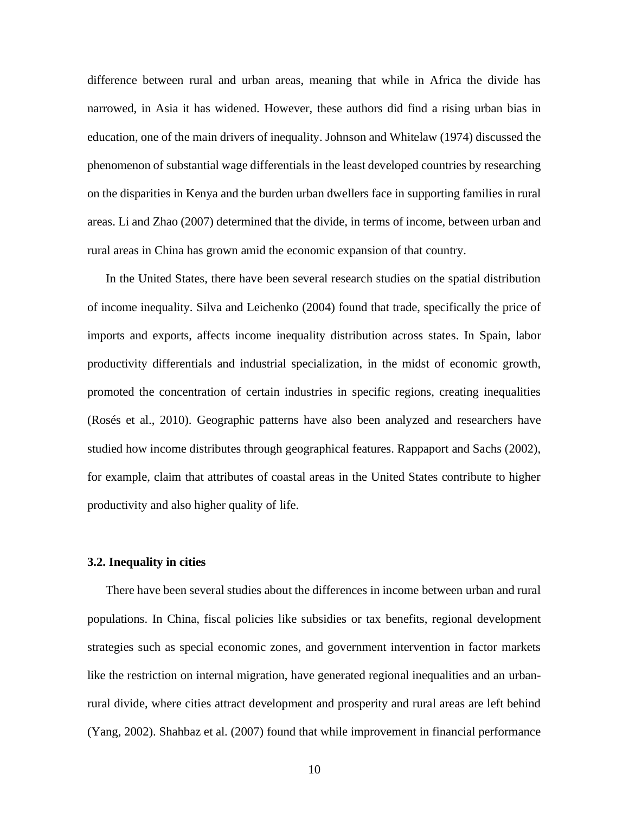difference between rural and urban areas, meaning that while in Africa the divide has narrowed, in Asia it has widened. However, these authors did find a rising urban bias in education, one of the main drivers of inequality. Johnson and Whitelaw (1974) discussed the phenomenon of substantial wage differentials in the least developed countries by researching on the disparities in Kenya and the burden urban dwellers face in supporting families in rural areas. Li and Zhao (2007) determined that the divide, in terms of income, between urban and rural areas in China has grown amid the economic expansion of that country.

In the United States, there have been several research studies on the spatial distribution of income inequality. Silva and Leichenko (2004) found that trade, specifically the price of imports and exports, affects income inequality distribution across states. In Spain, labor productivity differentials and industrial specialization, in the midst of economic growth, promoted the concentration of certain industries in specific regions, creating inequalities (Rosés et al., 2010). Geographic patterns have also been analyzed and researchers have studied how income distributes through geographical features. Rappaport and Sachs (2002), for example, claim that attributes of coastal areas in the United States contribute to higher productivity and also higher quality of life.

### **3.2. Inequality in cities**

There have been several studies about the differences in income between urban and rural populations. In China, fiscal policies like subsidies or tax benefits, regional development strategies such as special economic zones, and government intervention in factor markets like the restriction on internal migration, have generated regional inequalities and an urbanrural divide, where cities attract development and prosperity and rural areas are left behind (Yang, 2002). Shahbaz et al. (2007) found that while improvement in financial performance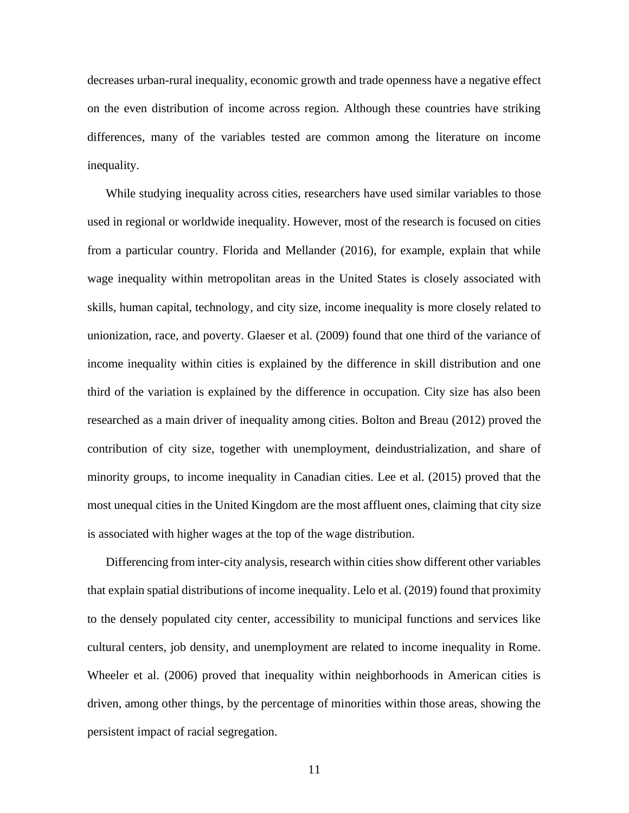decreases urban-rural inequality, economic growth and trade openness have a negative effect on the even distribution of income across region. Although these countries have striking differences, many of the variables tested are common among the literature on income inequality.

While studying inequality across cities, researchers have used similar variables to those used in regional or worldwide inequality. However, most of the research is focused on cities from a particular country. Florida and Mellander (2016), for example, explain that while wage inequality within metropolitan areas in the United States is closely associated with skills, human capital, technology, and city size, income inequality is more closely related to unionization, race, and poverty. Glaeser et al. (2009) found that one third of the variance of income inequality within cities is explained by the difference in skill distribution and one third of the variation is explained by the difference in occupation. City size has also been researched as a main driver of inequality among cities. Bolton and Breau (2012) proved the contribution of city size, together with unemployment, deindustrialization, and share of minority groups, to income inequality in Canadian cities. Lee et al. (2015) proved that the most unequal cities in the United Kingdom are the most affluent ones, claiming that city size is associated with higher wages at the top of the wage distribution.

Differencing from inter-city analysis, research within cities show different other variables that explain spatial distributions of income inequality. Lelo et al. (2019) found that proximity to the densely populated city center, accessibility to municipal functions and services like cultural centers, job density, and unemployment are related to income inequality in Rome. Wheeler et al. (2006) proved that inequality within neighborhoods in American cities is driven, among other things, by the percentage of minorities within those areas, showing the persistent impact of racial segregation.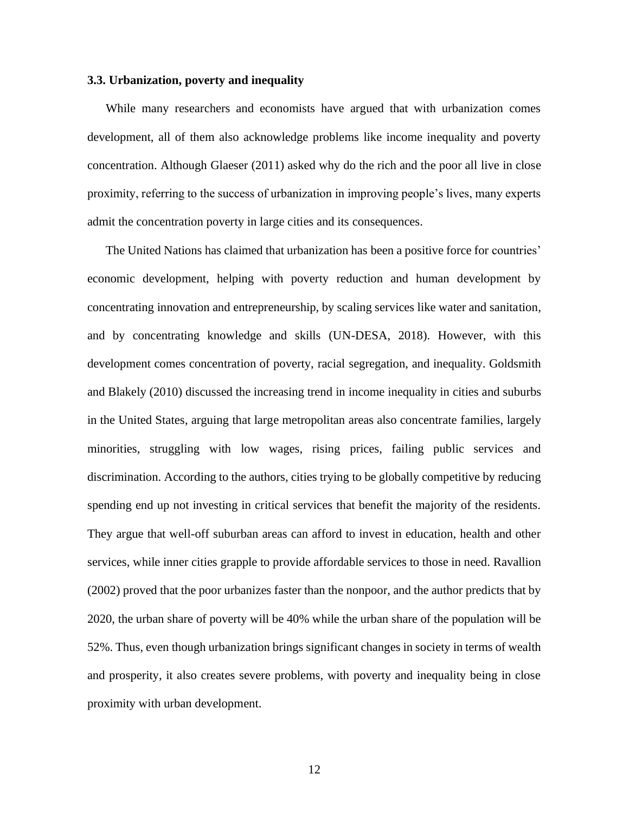#### **3.3. Urbanization, poverty and inequality**

While many researchers and economists have argued that with urbanization comes development, all of them also acknowledge problems like income inequality and poverty concentration. Although Glaeser (2011) asked why do the rich and the poor all live in close proximity, referring to the success of urbanization in improving people's lives, many experts admit the concentration poverty in large cities and its consequences.

The United Nations has claimed that urbanization has been a positive force for countries' economic development, helping with poverty reduction and human development by concentrating innovation and entrepreneurship, by scaling services like water and sanitation, and by concentrating knowledge and skills (UN-DESA, 2018). However, with this development comes concentration of poverty, racial segregation, and inequality. Goldsmith and Blakely (2010) discussed the increasing trend in income inequality in cities and suburbs in the United States, arguing that large metropolitan areas also concentrate families, largely minorities, struggling with low wages, rising prices, failing public services and discrimination. According to the authors, cities trying to be globally competitive by reducing spending end up not investing in critical services that benefit the majority of the residents. They argue that well-off suburban areas can afford to invest in education, health and other services, while inner cities grapple to provide affordable services to those in need. Ravallion (2002) proved that the poor urbanizes faster than the nonpoor, and the author predicts that by 2020, the urban share of poverty will be 40% while the urban share of the population will be 52%. Thus, even though urbanization brings significant changes in society in terms of wealth and prosperity, it also creates severe problems, with poverty and inequality being in close proximity with urban development.

12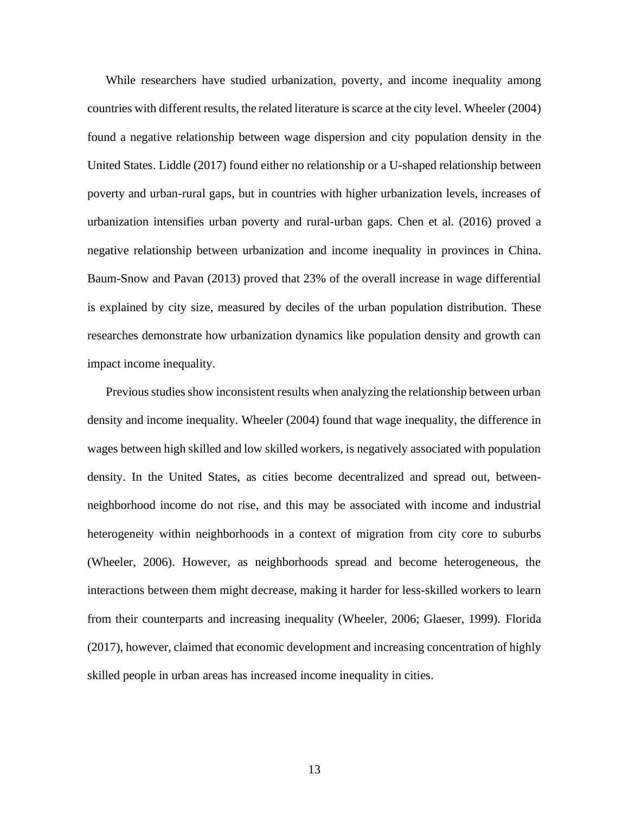While researchers have studied urbanization, poverty, and income inequality among countries with different results, the related literature is scarce at the city level. Wheeler (2004) found a negative relationship between wage dispersion and city population density in the United States. Liddle (2017) found either no relationship or a U-shaped relationship between poverty and urban-rural gaps, but in countries with higher urbanization levels, increases of urbanization intensifies urban poverty and rural-urban gaps. Chen et al. (2016) proved a negative relationship between urbanization and income inequality in provinces in China. Baum-Snow and Pavan (2013) proved that 23% of the overall increase in wage differential is explained by city size, measured by deciles of the urban population distribution. These researches demonstrate how urbanization dynamics like population density and growth can impact income inequality.

Previous studies show inconsistent results when analyzing the relationship between urban density and income inequality. Wheeler (2004) found that wage inequality, the difference in wages between high skilled and low skilled workers, is negatively associated with population density. In the United States, as cities become decentralized and spread out, betweenneighborhood income do not rise, and this may be associated with income and industrial heterogeneity within neighborhoods in a context of migration from city core to suburbs (Wheeler, 2006). However, as neighborhoods spread and become heterogeneous, the interactions between them might decrease, making it harder for less-skilled workers to learn from their counterparts and increasing inequality (Wheeler, 2006; Glaeser, 1999). Florida (2017), however, claimed that economic development and increasing concentration of highly skilled people in urban areas has increased income inequality in cities.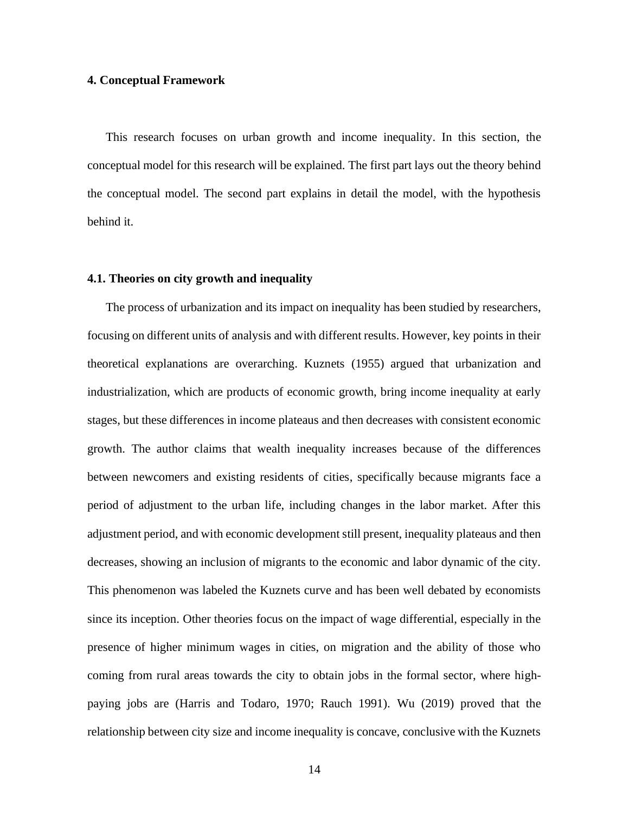#### **4. Conceptual Framework**

This research focuses on urban growth and income inequality. In this section, the conceptual model for this research will be explained. The first part lays out the theory behind the conceptual model. The second part explains in detail the model, with the hypothesis behind it.

#### **4.1. Theories on city growth and inequality**

The process of urbanization and its impact on inequality has been studied by researchers, focusing on different units of analysis and with different results. However, key points in their theoretical explanations are overarching. Kuznets (1955) argued that urbanization and industrialization, which are products of economic growth, bring income inequality at early stages, but these differences in income plateaus and then decreases with consistent economic growth. The author claims that wealth inequality increases because of the differences between newcomers and existing residents of cities, specifically because migrants face a period of adjustment to the urban life, including changes in the labor market. After this adjustment period, and with economic development still present, inequality plateaus and then decreases, showing an inclusion of migrants to the economic and labor dynamic of the city. This phenomenon was labeled the Kuznets curve and has been well debated by economists since its inception. Other theories focus on the impact of wage differential, especially in the presence of higher minimum wages in cities, on migration and the ability of those who coming from rural areas towards the city to obtain jobs in the formal sector, where highpaying jobs are (Harris and Todaro, 1970; Rauch 1991). Wu (2019) proved that the relationship between city size and income inequality is concave, conclusive with the Kuznets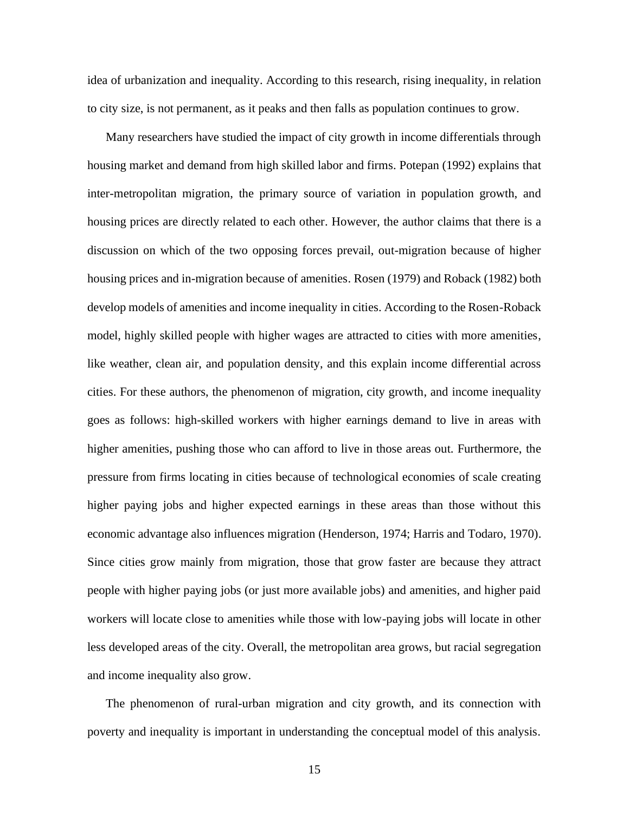idea of urbanization and inequality. According to this research, rising inequality, in relation to city size, is not permanent, as it peaks and then falls as population continues to grow.

Many researchers have studied the impact of city growth in income differentials through housing market and demand from high skilled labor and firms. Potepan (1992) explains that inter-metropolitan migration, the primary source of variation in population growth, and housing prices are directly related to each other. However, the author claims that there is a discussion on which of the two opposing forces prevail, out-migration because of higher housing prices and in-migration because of amenities. Rosen (1979) and Roback (1982) both develop models of amenities and income inequality in cities. According to the Rosen-Roback model, highly skilled people with higher wages are attracted to cities with more amenities, like weather, clean air, and population density, and this explain income differential across cities. For these authors, the phenomenon of migration, city growth, and income inequality goes as follows: high-skilled workers with higher earnings demand to live in areas with higher amenities, pushing those who can afford to live in those areas out. Furthermore, the pressure from firms locating in cities because of technological economies of scale creating higher paying jobs and higher expected earnings in these areas than those without this economic advantage also influences migration (Henderson, 1974; Harris and Todaro, 1970). Since cities grow mainly from migration, those that grow faster are because they attract people with higher paying jobs (or just more available jobs) and amenities, and higher paid workers will locate close to amenities while those with low-paying jobs will locate in other less developed areas of the city. Overall, the metropolitan area grows, but racial segregation and income inequality also grow.

The phenomenon of rural-urban migration and city growth, and its connection with poverty and inequality is important in understanding the conceptual model of this analysis.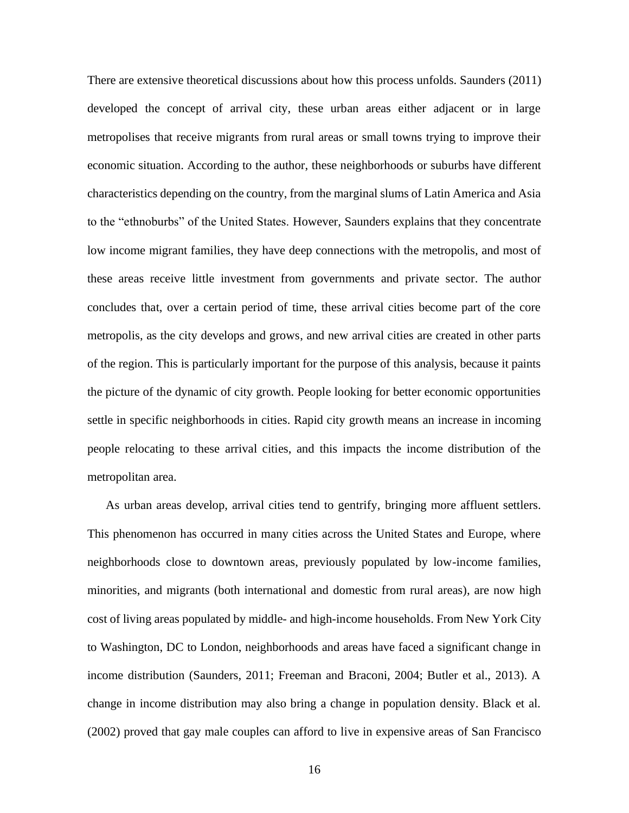There are extensive theoretical discussions about how this process unfolds. Saunders (2011) developed the concept of arrival city, these urban areas either adjacent or in large metropolises that receive migrants from rural areas or small towns trying to improve their economic situation. According to the author, these neighborhoods or suburbs have different characteristics depending on the country, from the marginal slums of Latin America and Asia to the "ethnoburbs" of the United States. However, Saunders explains that they concentrate low income migrant families, they have deep connections with the metropolis, and most of these areas receive little investment from governments and private sector. The author concludes that, over a certain period of time, these arrival cities become part of the core metropolis, as the city develops and grows, and new arrival cities are created in other parts of the region. This is particularly important for the purpose of this analysis, because it paints the picture of the dynamic of city growth. People looking for better economic opportunities settle in specific neighborhoods in cities. Rapid city growth means an increase in incoming people relocating to these arrival cities, and this impacts the income distribution of the metropolitan area.

As urban areas develop, arrival cities tend to gentrify, bringing more affluent settlers. This phenomenon has occurred in many cities across the United States and Europe, where neighborhoods close to downtown areas, previously populated by low-income families, minorities, and migrants (both international and domestic from rural areas), are now high cost of living areas populated by middle- and high-income households. From New York City to Washington, DC to London, neighborhoods and areas have faced a significant change in income distribution (Saunders, 2011; Freeman and Braconi, 2004; Butler et al., 2013). A change in income distribution may also bring a change in population density. Black et al. (2002) proved that gay male couples can afford to live in expensive areas of San Francisco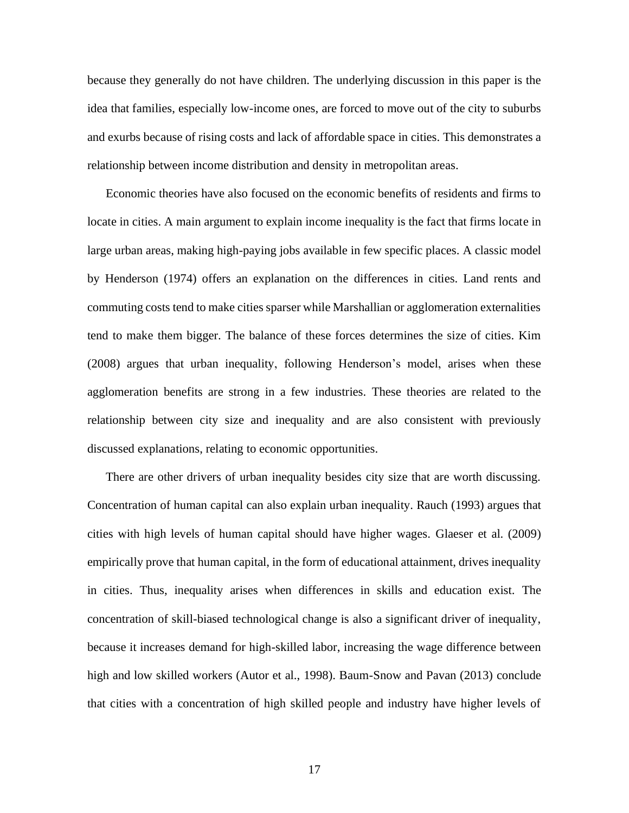because they generally do not have children. The underlying discussion in this paper is the idea that families, especially low-income ones, are forced to move out of the city to suburbs and exurbs because of rising costs and lack of affordable space in cities. This demonstrates a relationship between income distribution and density in metropolitan areas.

Economic theories have also focused on the economic benefits of residents and firms to locate in cities. A main argument to explain income inequality is the fact that firms locate in large urban areas, making high-paying jobs available in few specific places. A classic model by Henderson (1974) offers an explanation on the differences in cities. Land rents and commuting costs tend to make cities sparser while Marshallian or agglomeration externalities tend to make them bigger. The balance of these forces determines the size of cities. Kim (2008) argues that urban inequality, following Henderson's model, arises when these agglomeration benefits are strong in a few industries. These theories are related to the relationship between city size and inequality and are also consistent with previously discussed explanations, relating to economic opportunities.

There are other drivers of urban inequality besides city size that are worth discussing. Concentration of human capital can also explain urban inequality. Rauch (1993) argues that cities with high levels of human capital should have higher wages. Glaeser et al. (2009) empirically prove that human capital, in the form of educational attainment, drives inequality in cities. Thus, inequality arises when differences in skills and education exist. The concentration of skill-biased technological change is also a significant driver of inequality, because it increases demand for high-skilled labor, increasing the wage difference between high and low skilled workers (Autor et al., 1998). Baum-Snow and Pavan (2013) conclude that cities with a concentration of high skilled people and industry have higher levels of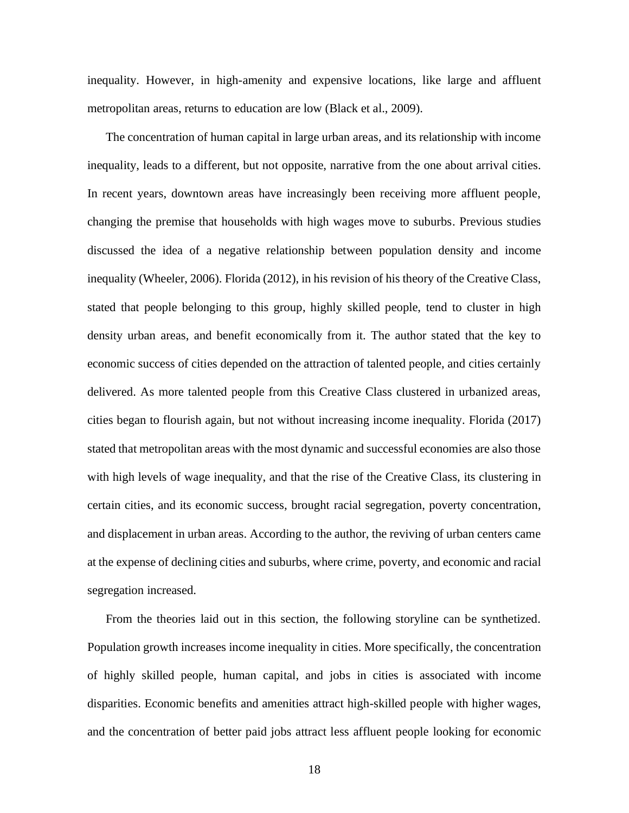inequality. However, in high-amenity and expensive locations, like large and affluent metropolitan areas, returns to education are low (Black et al., 2009).

The concentration of human capital in large urban areas, and its relationship with income inequality, leads to a different, but not opposite, narrative from the one about arrival cities. In recent years, downtown areas have increasingly been receiving more affluent people, changing the premise that households with high wages move to suburbs. Previous studies discussed the idea of a negative relationship between population density and income inequality (Wheeler, 2006). Florida (2012), in his revision of his theory of the Creative Class, stated that people belonging to this group, highly skilled people, tend to cluster in high density urban areas, and benefit economically from it. The author stated that the key to economic success of cities depended on the attraction of talented people, and cities certainly delivered. As more talented people from this Creative Class clustered in urbanized areas, cities began to flourish again, but not without increasing income inequality. Florida (2017) stated that metropolitan areas with the most dynamic and successful economies are also those with high levels of wage inequality, and that the rise of the Creative Class, its clustering in certain cities, and its economic success, brought racial segregation, poverty concentration, and displacement in urban areas. According to the author, the reviving of urban centers came at the expense of declining cities and suburbs, where crime, poverty, and economic and racial segregation increased.

From the theories laid out in this section, the following storyline can be synthetized. Population growth increases income inequality in cities. More specifically, the concentration of highly skilled people, human capital, and jobs in cities is associated with income disparities. Economic benefits and amenities attract high-skilled people with higher wages, and the concentration of better paid jobs attract less affluent people looking for economic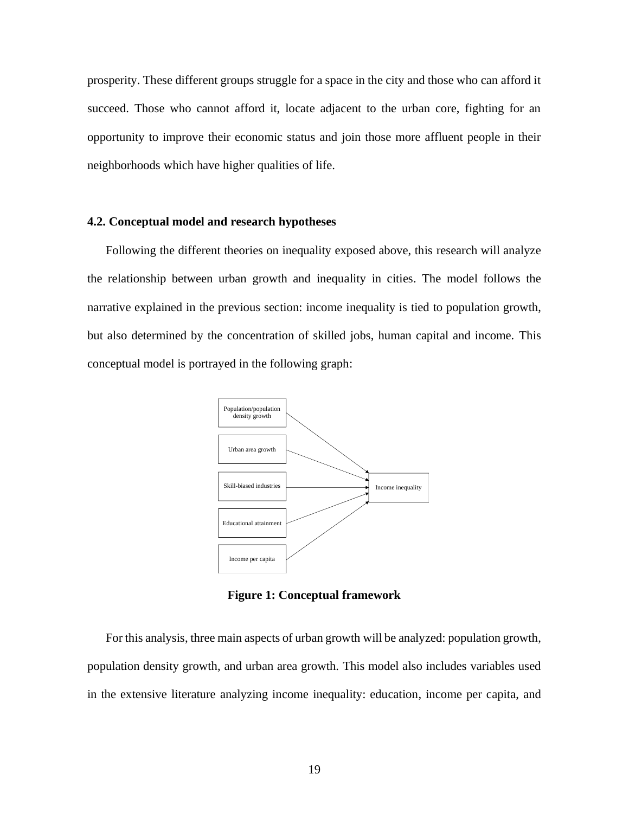prosperity. These different groups struggle for a space in the city and those who can afford it succeed. Those who cannot afford it, locate adjacent to the urban core, fighting for an opportunity to improve their economic status and join those more affluent people in their neighborhoods which have higher qualities of life.

#### **4.2. Conceptual model and research hypotheses**

Following the different theories on inequality exposed above, this research will analyze the relationship between urban growth and inequality in cities. The model follows the narrative explained in the previous section: income inequality is tied to population growth, but also determined by the concentration of skilled jobs, human capital and income. This conceptual model is portrayed in the following graph:



**Figure 1: Conceptual framework**

For this analysis, three main aspects of urban growth will be analyzed: population growth, population density growth, and urban area growth. This model also includes variables used in the extensive literature analyzing income inequality: education, income per capita, and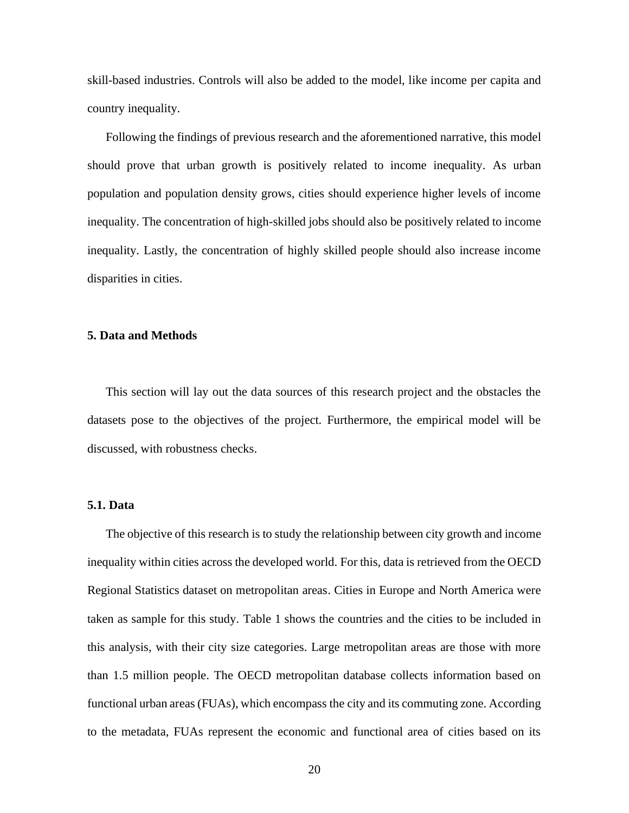skill-based industries. Controls will also be added to the model, like income per capita and country inequality.

Following the findings of previous research and the aforementioned narrative, this model should prove that urban growth is positively related to income inequality. As urban population and population density grows, cities should experience higher levels of income inequality. The concentration of high-skilled jobs should also be positively related to income inequality. Lastly, the concentration of highly skilled people should also increase income disparities in cities.

#### **5. Data and Methods**

This section will lay out the data sources of this research project and the obstacles the datasets pose to the objectives of the project. Furthermore, the empirical model will be discussed, with robustness checks.

## **5.1. Data**

The objective of this research is to study the relationship between city growth and income inequality within cities across the developed world. For this, data is retrieved from the OECD Regional Statistics dataset on metropolitan areas. Cities in Europe and North America were taken as sample for this study. Table 1 shows the countries and the cities to be included in this analysis, with their city size categories. Large metropolitan areas are those with more than 1.5 million people. The OECD metropolitan database collects information based on functional urban areas (FUAs), which encompass the city and its commuting zone. According to the metadata, FUAs represent the economic and functional area of cities based on its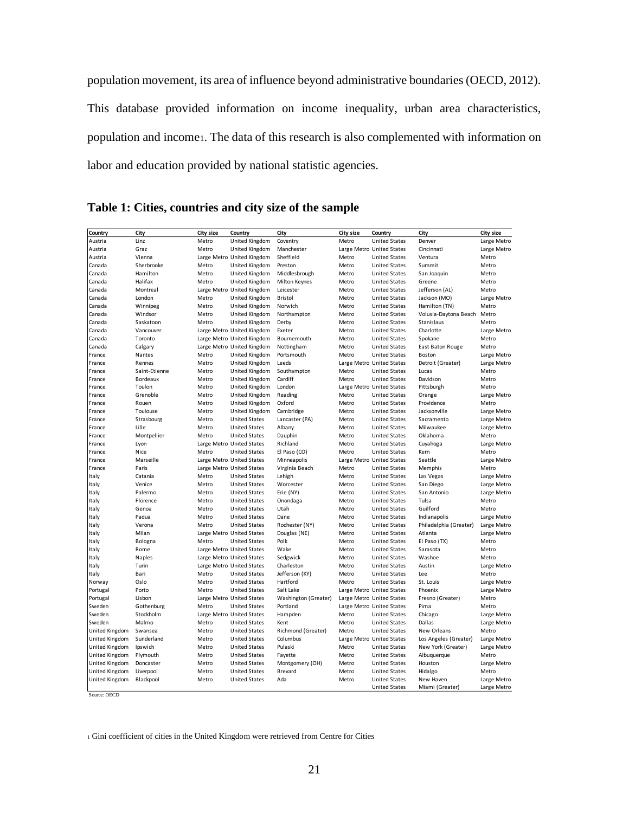population movement, its area of influence beyond administrative boundaries (OECD, 2012). This database provided information on income inequality, urban area characteristics, population and income1. The data of this research is also complemented with information on labor and education provided by national statistic agencies.

| Table 1: Cities, countries and city size of the sample |  |  |  |  |  |
|--------------------------------------------------------|--|--|--|--|--|
|--------------------------------------------------------|--|--|--|--|--|

| Country        | City          | City size | Country                    | City                 | City size | Country                   | City                   | City size   |
|----------------|---------------|-----------|----------------------------|----------------------|-----------|---------------------------|------------------------|-------------|
| Austria        | Linz          | Metro     | United Kingdom             | Coventry             | Metro     | <b>United States</b>      | Denver                 | Large Metro |
| Austria        | Graz          | Metro     | United Kingdom             | Manchester           |           | Large Metro United States | Cincinnati             | Large Metro |
| Austria        | Vienna        |           | Large Metro United Kingdom | Sheffield            | Metro     | <b>United States</b>      | Ventura                | Metro       |
| Canada         | Sherbrooke    | Metro     | United Kingdom             | Preston              | Metro     | <b>United States</b>      | Summit                 | Metro       |
| Canada         | Hamilton      | Metro     | United Kingdom             | Middlesbrough        | Metro     | <b>United States</b>      | San Joaquin            | Metro       |
| Canada         | Halifax       | Metro     | United Kingdom             | Milton Keynes        | Metro     | <b>United States</b>      | Greene                 | Metro       |
| Canada         | Montreal      |           | Large Metro United Kingdom | Leicester            | Metro     | <b>United States</b>      | Jefferson (AL)         | Metro       |
| Canada         | London        | Metro     | United Kingdom             | <b>Bristol</b>       | Metro     | <b>United States</b>      | Jackson (MO)           | Large Metro |
| Canada         | Winnipeg      | Metro     | United Kingdom             | Norwich              | Metro     | <b>United States</b>      | Hamilton (TN)          | Metro       |
| Canada         | Windsor       | Metro     | United Kingdom             | Northampton          | Metro     | <b>United States</b>      | Volusia-Daytona Beach  | Metro       |
| Canada         | Saskatoon     | Metro     | United Kingdom             | Derby                | Metro     | <b>United States</b>      | Stanislaus             | Metro       |
| Canada         | Vancouver     |           | Large Metro United Kingdom | Exeter               | Metro     | <b>United States</b>      | Charlotte              | Large Metro |
| Canada         | Toronto       |           | Large Metro United Kingdom | Bournemouth          | Metro     | <b>United States</b>      | Spokane                | Metro       |
| Canada         | Calgary       |           | Large Metro United Kingdom | Nottingham           | Metro     | <b>United States</b>      | East Baton Rouge       | Metro       |
| France         | Nantes        | Metro     | United Kingdom             | Portsmouth           | Metro     | <b>United States</b>      | Boston                 | Large Metro |
| France         | Rennes        | Metro     | United Kingdom             | Leeds                |           | Large Metro United States | Detroit (Greater)      | Large Metro |
| France         | Saint-Etienne | Metro     | United Kingdom             | Southampton          | Metro     | <b>United States</b>      | Lucas                  | Metro       |
| France         | Bordeaux      | Metro     | United Kingdom             | Cardiff              | Metro     | <b>United States</b>      | Davidson               | Metro       |
| France         | Toulon        | Metro     | United Kingdom             | London               |           | Large Metro United States | Pittsburgh             | Metro       |
| France         | Grenoble      | Metro     | United Kingdom             | Reading              | Metro     | <b>United States</b>      | Orange                 | Large Metro |
| France         | Rouen         | Metro     | United Kingdom             | Oxford               | Metro     | <b>United States</b>      | Providence             | Metro       |
| France         | Toulouse      | Metro     | United Kingdom             | Cambridge            | Metro     | <b>United States</b>      | Jacksonville           | Large Metro |
| France         | Strasbourg    | Metro     | <b>United States</b>       | Lancaster (PA)       | Metro     | <b>United States</b>      | Sacramento             | Large Metro |
| France         | Lille         | Metro     | <b>United States</b>       | Albany               | Metro     | <b>United States</b>      | Milwaukee              | Large Metro |
| France         | Montpellier   | Metro     | <b>United States</b>       | Dauphin              | Metro     | <b>United States</b>      | Oklahoma               | Metro       |
| France         | Lyon          |           | Large Metro United States  | Richland             | Metro     | <b>United States</b>      | Cuyahoga               | Large Metro |
| France         | Nice          | Metro     | <b>United States</b>       | El Paso (CO)         | Metro     | <b>United States</b>      | Kern                   | Metro       |
| France         | Marseille     |           | Large Metro United States  | Minneapolis          |           | Large Metro United States | Seattle                | Large Metro |
| France         | Paris         |           | Large Metro United States  | Virginia Beach       | Metro     | <b>United States</b>      | Memphis                | Metro       |
| Italy          | Catania       | Metro     | <b>United States</b>       | Lehigh               | Metro     | <b>United States</b>      | Las Vegas              | Large Metro |
| Italy          | Venice        | Metro     | <b>United States</b>       | Worcester            | Metro     | <b>United States</b>      | San Diego              | Large Metro |
| Italy          | Palermo       | Metro     | <b>United States</b>       | Erie (NY)            | Metro     | <b>United States</b>      | San Antonio            | Large Metro |
| Italy          | Florence      | Metro     | <b>United States</b>       | Onondaga             | Metro     | <b>United States</b>      | Tulsa                  | Metro       |
| Italy          | Genoa         | Metro     | <b>United States</b>       | Utah                 | Metro     | <b>United States</b>      | Guilford               | Metro       |
| Italy          | Padua         | Metro     | <b>United States</b>       | Dane                 | Metro     | <b>United States</b>      | Indianapolis           | Large Metro |
| Italy          | Verona        | Metro     | <b>United States</b>       | Rochester (NY)       | Metro     | <b>United States</b>      | Philadelphia (Greater) | Large Metro |
| Italy          | Milan         |           | Large Metro United States  | Douglas (NE)         | Metro     | <b>United States</b>      | Atlanta                | Large Metro |
| Italy          | Bologna       | Metro     | <b>United States</b>       | Polk                 | Metro     | <b>United States</b>      | El Paso (TX)           | Metro       |
| Italy          | Rome          |           | Large Metro United States  | Wake                 | Metro     | <b>United States</b>      | Sarasota               | Metro       |
| Italy          | Naples        |           | Large Metro United States  | Sedgwick             | Metro     | <b>United States</b>      | Washoe                 | Metro       |
| Italy          | Turin         |           | Large Metro United States  | Charleston           | Metro     | <b>United States</b>      | Austin                 | Large Metro |
| Italy          | Bari          | Metro     | <b>United States</b>       | Jefferson (KY)       | Metro     | <b>United States</b>      | Lee                    | Metro       |
| Norway         | Oslo          | Metro     | <b>United States</b>       | Hartford             | Metro     | <b>United States</b>      | St. Louis              | Large Metro |
| Portugal       | Porto         | Metro     | <b>United States</b>       | Salt Lake            |           | Large Metro United States | Phoenix                | Large Metro |
| Portugal       | Lisbon        |           | Large Metro United States  | Washington (Greater) |           | Large Metro United States | Fresno (Greater)       | Metro       |
| Sweden         | Gothenburg    | Metro     | <b>United States</b>       | Portland             |           | Large Metro United States | Pima                   | Metro       |
| Sweden         | Stockholm     |           | Large Metro United States  | Hampden              | Metro     | <b>United States</b>      | Chicago                | Large Metro |
| Sweden         | Malmo         | Metro     | <b>United States</b>       | Kent                 | Metro     | <b>United States</b>      | Dallas                 | Large Metro |
| United Kingdom | Swansea       | Metro     | <b>United States</b>       | Richmond (Greater)   | Metro     | <b>United States</b>      | New Orleans            | Metro       |
| United Kingdom | Sunderland    | Metro     | <b>United States</b>       | Columbus             |           | Large Metro United States | Los Angeles (Greater)  | Large Metro |
| United Kingdom | Ipswich       | Metro     | <b>United States</b>       | Pulaski              | Metro     | <b>United States</b>      | New York (Greater)     | Large Metro |
| United Kingdom | Plymouth      | Metro     | <b>United States</b>       | Fayette              | Metro     | <b>United States</b>      | Albuquerque            | Metro       |
| United Kingdom | Doncaster     | Metro     | <b>United States</b>       | Montgomery (OH)      | Metro     | <b>United States</b>      | Houston                | Large Metro |
| United Kingdom | Liverpool     | Metro     | <b>United States</b>       | Brevard              | Metro     | <b>United States</b>      | Hidalgo                | Metro       |
| United Kingdom | Blackpool     | Metro     | <b>United States</b>       | Ada                  | Metro     | <b>United States</b>      | New Haven              | Large Metro |
|                |               |           |                            |                      |           | <b>United States</b>      | Miami (Greater)        | Large Metro |
| Source: OECD   |               |           |                            |                      |           |                           |                        |             |

<sup>1</sup> Gini coefficient of cities in the United Kingdom were retrieved from Centre for Cities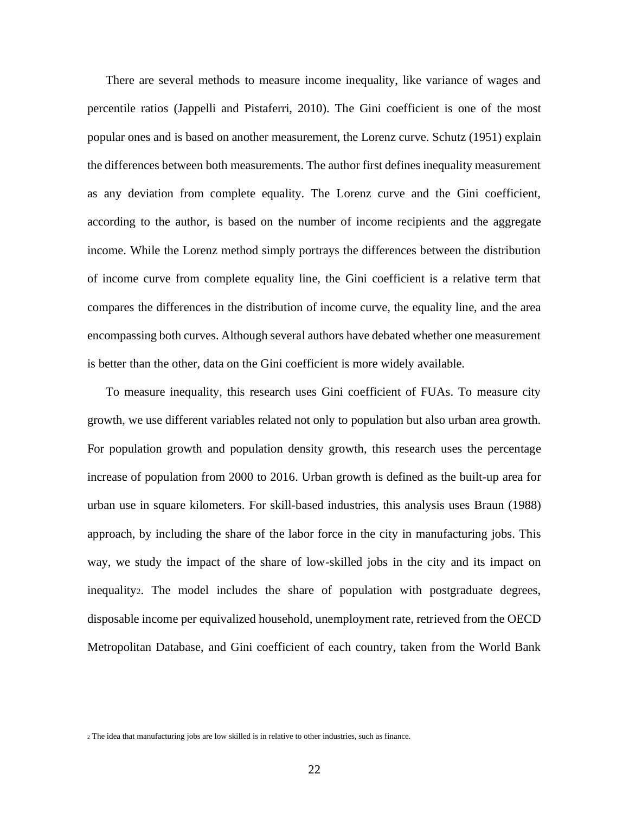There are several methods to measure income inequality, like variance of wages and percentile ratios (Jappelli and Pistaferri, 2010). The Gini coefficient is one of the most popular ones and is based on another measurement, the Lorenz curve. Schutz (1951) explain the differences between both measurements. The author first defines inequality measurement as any deviation from complete equality. The Lorenz curve and the Gini coefficient, according to the author, is based on the number of income recipients and the aggregate income. While the Lorenz method simply portrays the differences between the distribution of income curve from complete equality line, the Gini coefficient is a relative term that compares the differences in the distribution of income curve, the equality line, and the area encompassing both curves. Although several authors have debated whether one measurement is better than the other, data on the Gini coefficient is more widely available.

To measure inequality, this research uses Gini coefficient of FUAs. To measure city growth, we use different variables related not only to population but also urban area growth. For population growth and population density growth, this research uses the percentage increase of population from 2000 to 2016. Urban growth is defined as the built-up area for urban use in square kilometers. For skill-based industries, this analysis uses Braun (1988) approach, by including the share of the labor force in the city in manufacturing jobs. This way, we study the impact of the share of low-skilled jobs in the city and its impact on inequality2. The model includes the share of population with postgraduate degrees, disposable income per equivalized household, unemployment rate, retrieved from the OECD Metropolitan Database, and Gini coefficient of each country, taken from the World Bank

<sup>2</sup> The idea that manufacturing jobs are low skilled is in relative to other industries, such as finance.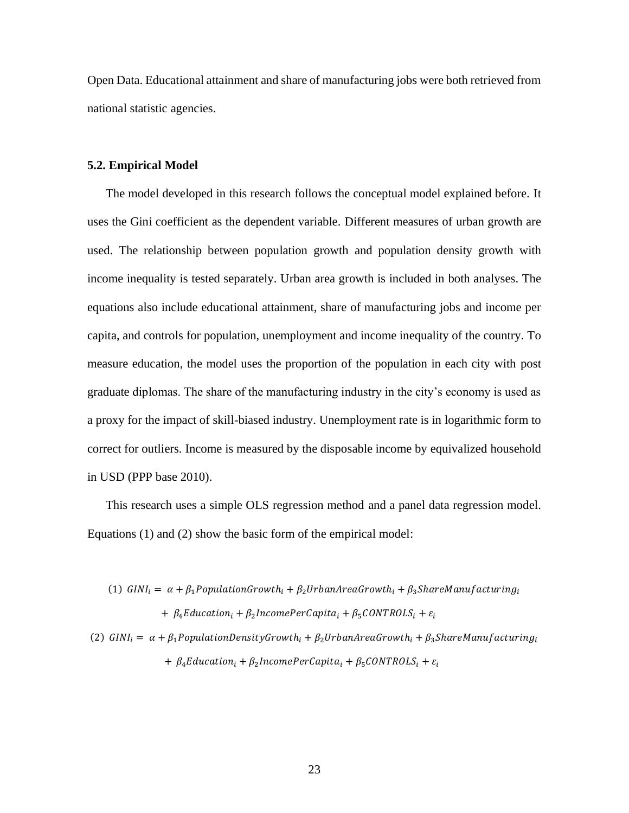Open Data. Educational attainment and share of manufacturing jobs were both retrieved from national statistic agencies.

#### **5.2. Empirical Model**

The model developed in this research follows the conceptual model explained before. It uses the Gini coefficient as the dependent variable. Different measures of urban growth are used. The relationship between population growth and population density growth with income inequality is tested separately. Urban area growth is included in both analyses. The equations also include educational attainment, share of manufacturing jobs and income per capita, and controls for population, unemployment and income inequality of the country. To measure education, the model uses the proportion of the population in each city with post graduate diplomas. The share of the manufacturing industry in the city's economy is used as a proxy for the impact of skill-biased industry. Unemployment rate is in logarithmic form to correct for outliers. Income is measured by the disposable income by equivalized household in USD (PPP base 2010).

This research uses a simple OLS regression method and a panel data regression model. Equations (1) and (2) show the basic form of the empirical model:

(1) 
$$
GINI_i = \alpha + \beta_1 PopulationGrowth_i + \beta_2 UrbanAreaGrowth_i + \beta_3ShareMainafacturing_i
$$

$$
+ \beta_4 Education_i + \beta_2 IncomePerCapita_i + \beta_5 CONTROLS_i + \varepsilon_i
$$

(2)  $GINI_i = \alpha + \beta_1 PopulationDensityGrowth_i + \beta_2 UrbanAreaGrowth_i + \beta_3ShareManyfacturing_i$ +  $\beta_4$ Education<sub>i</sub> +  $\beta_2$ IncomePerCapita<sub>i</sub> +  $\beta_5$ CONTROLS<sub>i</sub> +  $\varepsilon_i$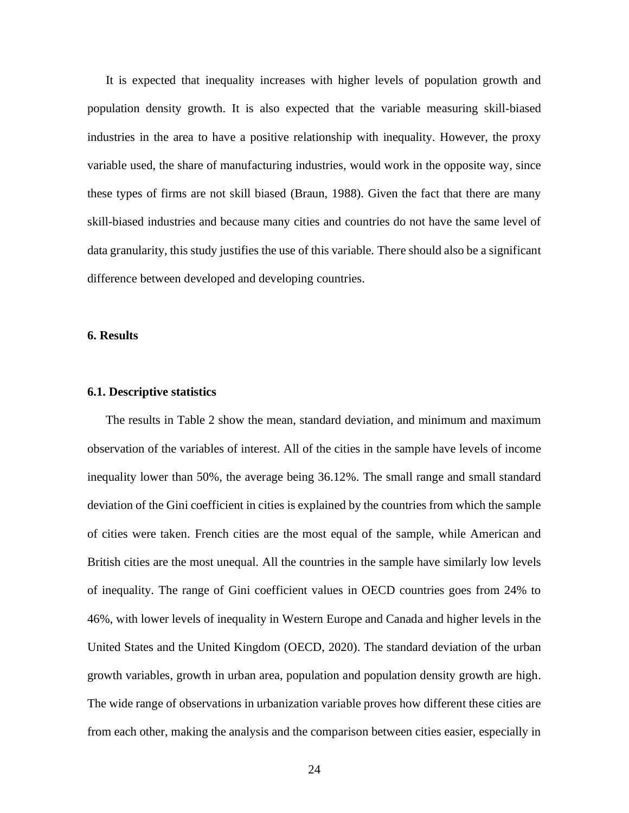It is expected that inequality increases with higher levels of population growth and population density growth. It is also expected that the variable measuring skill-biased industries in the area to have a positive relationship with inequality. However, the proxy variable used, the share of manufacturing industries, would work in the opposite way, since these types of firms are not skill biased (Braun, 1988). Given the fact that there are many skill-biased industries and because many cities and countries do not have the same level of data granularity, this study justifies the use of this variable. There should also be a significant difference between developed and developing countries.

#### **6. Results**

#### **6.1. Descriptive statistics**

The results in Table 2 show the mean, standard deviation, and minimum and maximum observation of the variables of interest. All of the cities in the sample have levels of income inequality lower than 50%, the average being 36.12%. The small range and small standard deviation of the Gini coefficient in cities is explained by the countries from which the sample of cities were taken. French cities are the most equal of the sample, while American and British cities are the most unequal. All the countries in the sample have similarly low levels of inequality. The range of Gini coefficient values in OECD countries goes from 24% to 46%, with lower levels of inequality in Western Europe and Canada and higher levels in the United States and the United Kingdom (OECD, 2020). The standard deviation of the urban growth variables, growth in urban area, population and population density growth are high. The wide range of observations in urbanization variable proves how different these cities are from each other, making the analysis and the comparison between cities easier, especially in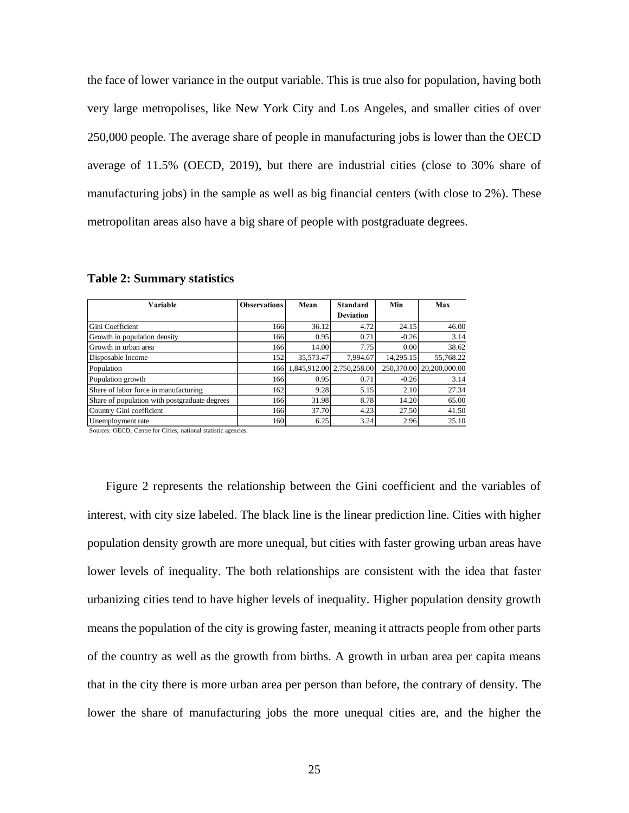the face of lower variance in the output variable. This is true also for population, having both very large metropolises, like New York City and Los Angeles, and smaller cities of over 250,000 people. The average share of people in manufacturing jobs is lower than the OECD average of 11.5% (OECD, 2019), but there are industrial cities (close to 30% share of manufacturing jobs) in the sample as well as big financial centers (with close to 2%). These metropolitan areas also have a big share of people with postgraduate degrees.

| Variable                                      | <b>Observations</b> | Mean      | <b>Standard</b>           | Min       | Max                      |
|-----------------------------------------------|---------------------|-----------|---------------------------|-----------|--------------------------|
|                                               |                     |           | <b>Deviation</b>          |           |                          |
| Gini Coefficient                              | 166                 | 36.12     | 4.72                      | 24.15     | 46.00                    |
| Growth in population density                  | 166                 | 0.95      | 0.71                      | $-0.26$   | 3.14                     |
| Growth in urban area                          | 166                 | 14.00     | 7.75                      | 0.00      | 38.62                    |
| Disposable Income                             | 152                 | 35,573.47 | 7.994.67                  | 14.295.15 | 55,768.22                |
| Population                                    | 166                 |           | 1,845,912.00 2,750,258.00 |           | 250,370.00 20,200,000.00 |
| Population growth                             | 166                 | 0.95      | 0.71                      | $-0.26$   | 3.14                     |
| Share of labor force in manufacturing         | 162                 | 9.28      | 5.15                      | 2.10      | 27.34                    |
| Share of population with postgraduate degrees | 166                 | 31.98     | 8.78                      | 14.20     | 65.00                    |
| Country Gini coefficient                      | 166                 | 37.70     | 4.23                      | 27.50     | 41.50                    |
| Unemployment rate                             | 160                 | 6.25      | 3.24                      | 2.96      | 25.10                    |

#### **Table 2: Summary statistics**

Sources: OECD, Centre for Cities, national statistic agencies.

Figure 2 represents the relationship between the Gini coefficient and the variables of interest, with city size labeled. The black line is the linear prediction line. Cities with higher population density growth are more unequal, but cities with faster growing urban areas have lower levels of inequality. The both relationships are consistent with the idea that faster urbanizing cities tend to have higher levels of inequality. Higher population density growth means the population of the city is growing faster, meaning it attracts people from other parts of the country as well as the growth from births. A growth in urban area per capita means that in the city there is more urban area per person than before, the contrary of density. The lower the share of manufacturing jobs the more unequal cities are, and the higher the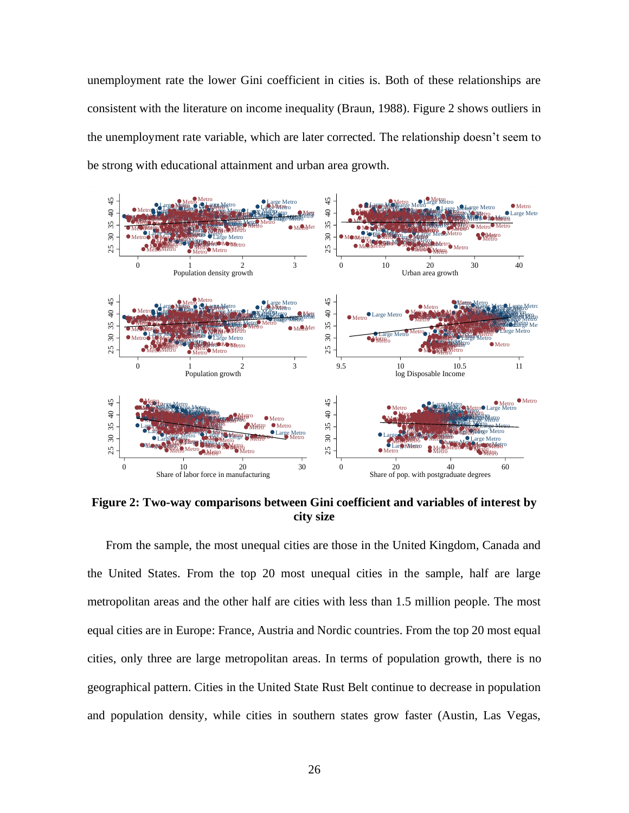unemployment rate the lower Gini coefficient in cities is. Both of these relationships are consistent with the literature on income inequality (Braun, 1988). Figure 2 shows outliers in the unemployment rate variable, which are later corrected. The relationship doesn't seem to be strong with educational attainment and urban area growth.



**Figure 2: Two-way comparisons between Gini coefficient and variables of interest by city size**

From the sample, the most unequal cities are those in the United Kingdom, Canada and the United States. From the top 20 most unequal cities in the sample, half are large metropolitan areas and the other half are cities with less than 1.5 million people. The most equal cities are in Europe: France, Austria and Nordic countries. From the top 20 most equal cities, only three are large metropolitan areas. In terms of population growth, there is no geographical pattern. Cities in the United State Rust Belt continue to decrease in population and population density, while cities in southern states grow faster (Austin, Las Vegas,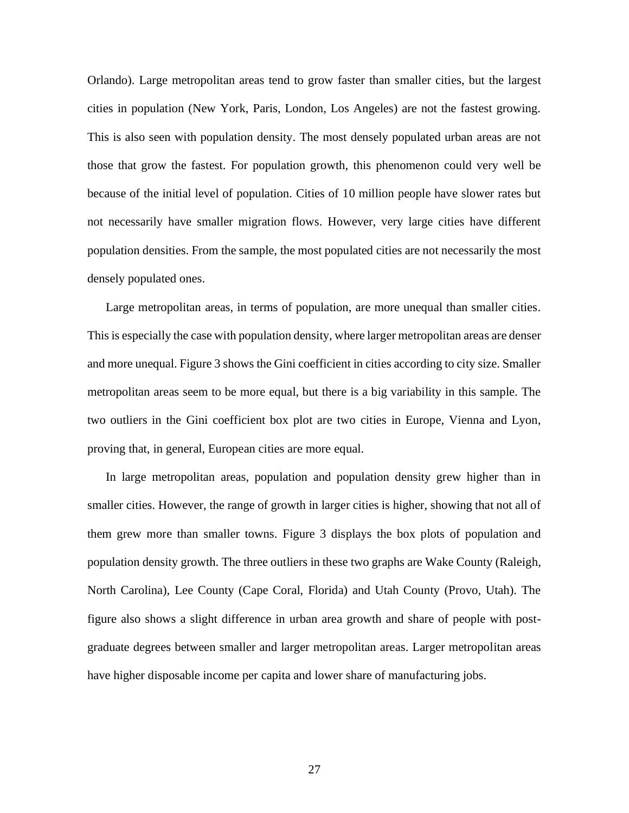Orlando). Large metropolitan areas tend to grow faster than smaller cities, but the largest cities in population (New York, Paris, London, Los Angeles) are not the fastest growing. This is also seen with population density. The most densely populated urban areas are not those that grow the fastest. For population growth, this phenomenon could very well be because of the initial level of population. Cities of 10 million people have slower rates but not necessarily have smaller migration flows. However, very large cities have different population densities. From the sample, the most populated cities are not necessarily the most densely populated ones.

Large metropolitan areas, in terms of population, are more unequal than smaller cities. This is especially the case with population density, where larger metropolitan areas are denser and more unequal. Figure 3 shows the Gini coefficient in cities according to city size. Smaller metropolitan areas seem to be more equal, but there is a big variability in this sample. The two outliers in the Gini coefficient box plot are two cities in Europe, Vienna and Lyon, proving that, in general, European cities are more equal.

In large metropolitan areas, population and population density grew higher than in smaller cities. However, the range of growth in larger cities is higher, showing that not all of them grew more than smaller towns. Figure 3 displays the box plots of population and population density growth. The three outliers in these two graphs are Wake County (Raleigh, North Carolina), Lee County (Cape Coral, Florida) and Utah County (Provo, Utah). The figure also shows a slight difference in urban area growth and share of people with postgraduate degrees between smaller and larger metropolitan areas. Larger metropolitan areas have higher disposable income per capita and lower share of manufacturing jobs.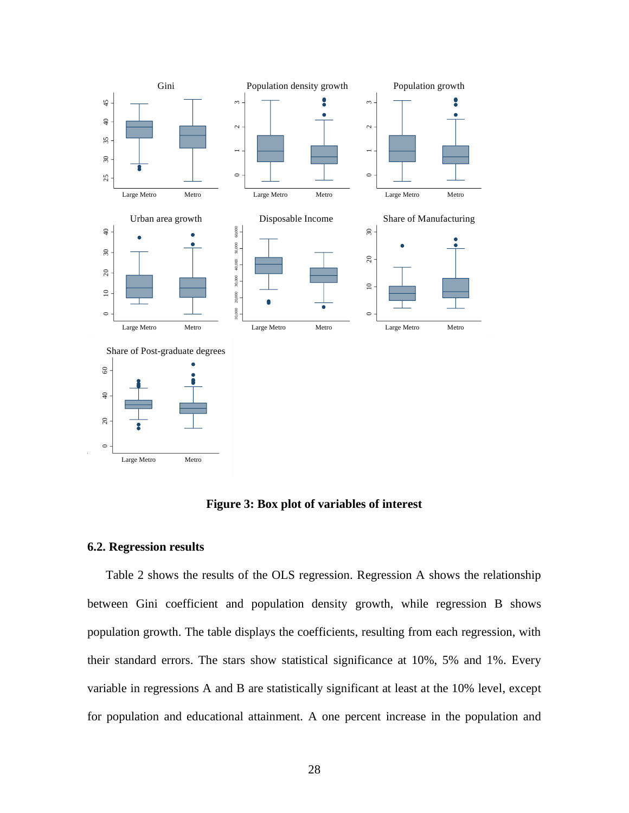

**Figure 3: Box plot of variables of interest**

#### **6.2. Regression results**

Table 2 shows the results of the OLS regression. Regression A shows the relationship between Gini coefficient and population density growth, while regression B shows population growth. The table displays the coefficients, resulting from each regression, with their standard errors. The stars show statistical significance at 10%, 5% and 1%. Every variable in regressions A and B are statistically significant at least at the 10% level, except for population and educational attainment. A one percent increase in the population and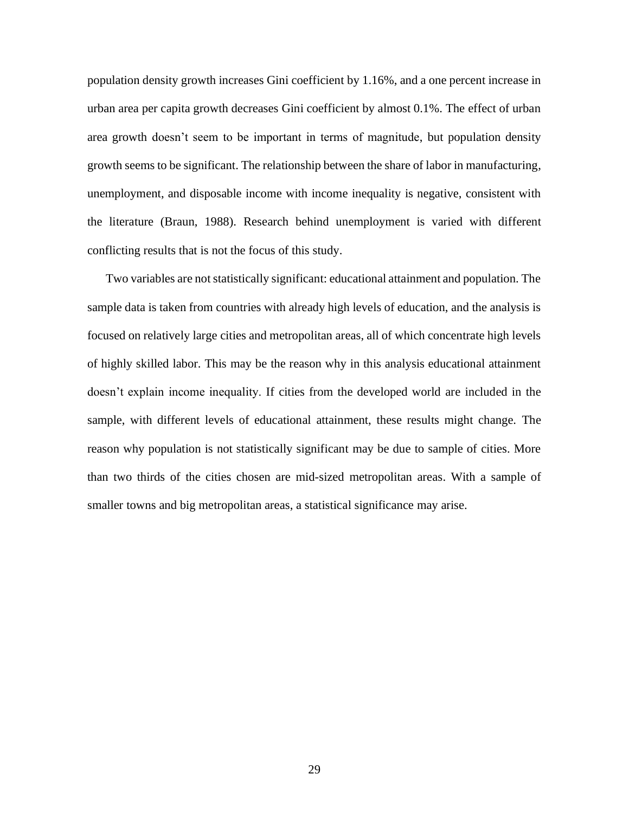population density growth increases Gini coefficient by 1.16%, and a one percent increase in urban area per capita growth decreases Gini coefficient by almost 0.1%. The effect of urban area growth doesn't seem to be important in terms of magnitude, but population density growth seems to be significant. The relationship between the share of labor in manufacturing, unemployment, and disposable income with income inequality is negative, consistent with the literature (Braun, 1988). Research behind unemployment is varied with different conflicting results that is not the focus of this study.

Two variables are not statistically significant: educational attainment and population. The sample data is taken from countries with already high levels of education, and the analysis is focused on relatively large cities and metropolitan areas, all of which concentrate high levels of highly skilled labor. This may be the reason why in this analysis educational attainment doesn't explain income inequality. If cities from the developed world are included in the sample, with different levels of educational attainment, these results might change. The reason why population is not statistically significant may be due to sample of cities. More than two thirds of the cities chosen are mid-sized metropolitan areas. With a sample of smaller towns and big metropolitan areas, a statistical significance may arise.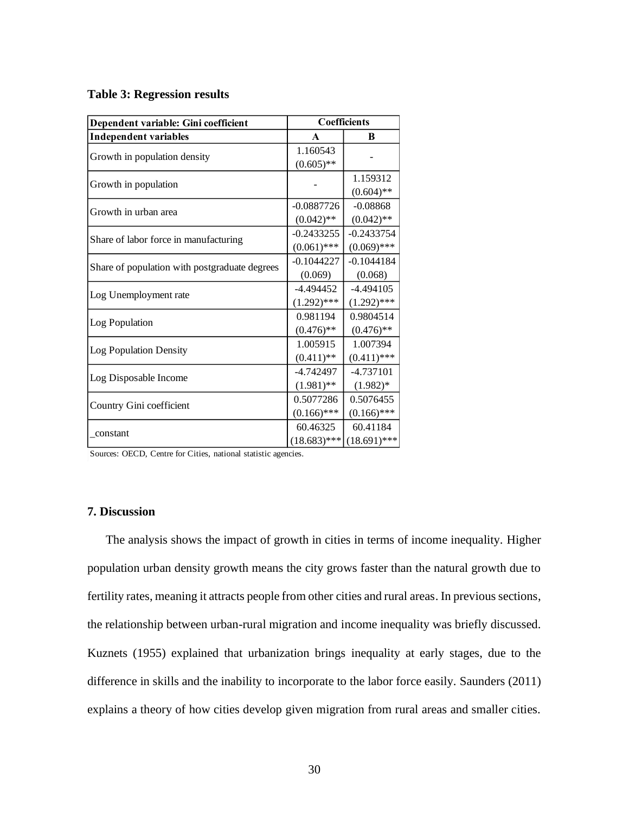#### **Table 3: Regression results**

| Dependent variable: Gini coefficient          | <b>Coefficients</b> |                |  |  |
|-----------------------------------------------|---------------------|----------------|--|--|
| <b>Independent variables</b>                  | $\mathbf A$         | B              |  |  |
|                                               | 1.160543            |                |  |  |
| Growth in population density                  | $(0.605)$ **        |                |  |  |
|                                               |                     | 1.159312       |  |  |
| Growth in population                          |                     | $(0.604)$ **   |  |  |
| Growth in urban area                          | $-0.0887726$        | $-0.08868$     |  |  |
|                                               | $(0.042)$ **        | $(0.042)$ **   |  |  |
| Share of labor force in manufacturing         | $-0.2433255$        | $-0.2433754$   |  |  |
|                                               | $(0.061)$ ***       | $(0.069)$ ***  |  |  |
| Share of population with postgraduate degrees | $-0.1044227$        | $-0.1044184$   |  |  |
|                                               | (0.069)             | (0.068)        |  |  |
|                                               | $-4.494452$         | $-4.494105$    |  |  |
| Log Unemployment rate                         | $(1.292)$ ***       | $(1.292)$ ***  |  |  |
| Log Population                                | 0.981194            | 0.9804514      |  |  |
|                                               | $(0.476)$ **        | $(0.476)$ **   |  |  |
| Log Population Density                        | 1.005915            | 1.007394       |  |  |
|                                               | $(0.411)$ **        | $(0.411)$ ***  |  |  |
| Log Disposable Income                         | $-4.742497$         | $-4.737101$    |  |  |
|                                               | $(1.981)$ **        | $(1.982)*$     |  |  |
| Country Gini coefficient                      | 0.5077286           | 0.5076455      |  |  |
|                                               | $(0.166)$ ***       | $(0.166)$ ***  |  |  |
|                                               | 60.46325            | 60.41184       |  |  |
| constant                                      | $(18.683)$ ***      | $(18.691)$ *** |  |  |

Sources: OECD, Centre for Cities, national statistic agencies.

### **7. Discussion**

The analysis shows the impact of growth in cities in terms of income inequality. Higher population urban density growth means the city grows faster than the natural growth due to fertility rates, meaning it attracts people from other cities and rural areas. In previous sections, the relationship between urban-rural migration and income inequality was briefly discussed. Kuznets (1955) explained that urbanization brings inequality at early stages, due to the difference in skills and the inability to incorporate to the labor force easily. Saunders (2011) explains a theory of how cities develop given migration from rural areas and smaller cities.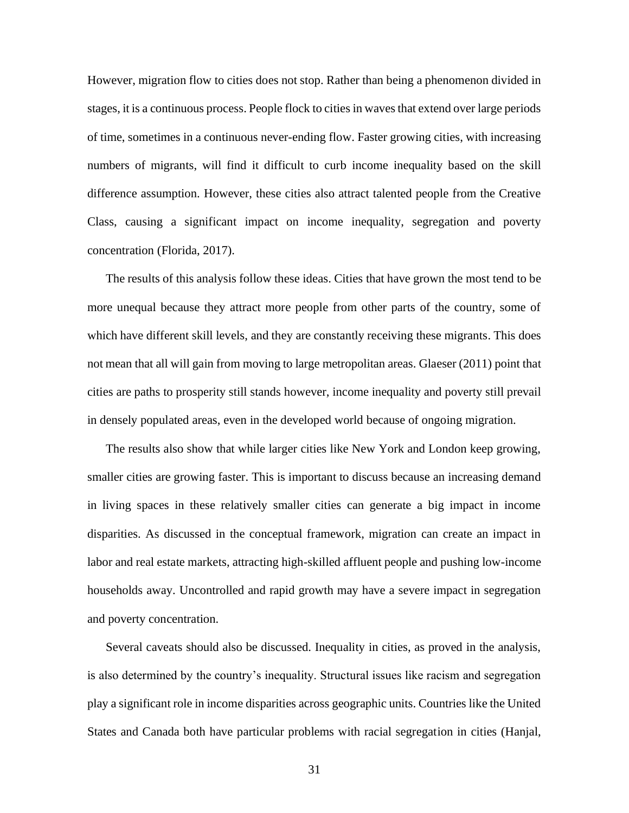However, migration flow to cities does not stop. Rather than being a phenomenon divided in stages, it is a continuous process. People flock to cities in waves that extend over large periods of time, sometimes in a continuous never-ending flow. Faster growing cities, with increasing numbers of migrants, will find it difficult to curb income inequality based on the skill difference assumption. However, these cities also attract talented people from the Creative Class, causing a significant impact on income inequality, segregation and poverty concentration (Florida, 2017).

The results of this analysis follow these ideas. Cities that have grown the most tend to be more unequal because they attract more people from other parts of the country, some of which have different skill levels, and they are constantly receiving these migrants. This does not mean that all will gain from moving to large metropolitan areas. Glaeser (2011) point that cities are paths to prosperity still stands however, income inequality and poverty still prevail in densely populated areas, even in the developed world because of ongoing migration.

The results also show that while larger cities like New York and London keep growing, smaller cities are growing faster. This is important to discuss because an increasing demand in living spaces in these relatively smaller cities can generate a big impact in income disparities. As discussed in the conceptual framework, migration can create an impact in labor and real estate markets, attracting high-skilled affluent people and pushing low-income households away. Uncontrolled and rapid growth may have a severe impact in segregation and poverty concentration.

Several caveats should also be discussed. Inequality in cities, as proved in the analysis, is also determined by the country's inequality. Structural issues like racism and segregation play a significant role in income disparities across geographic units. Countries like the United States and Canada both have particular problems with racial segregation in cities (Hanjal,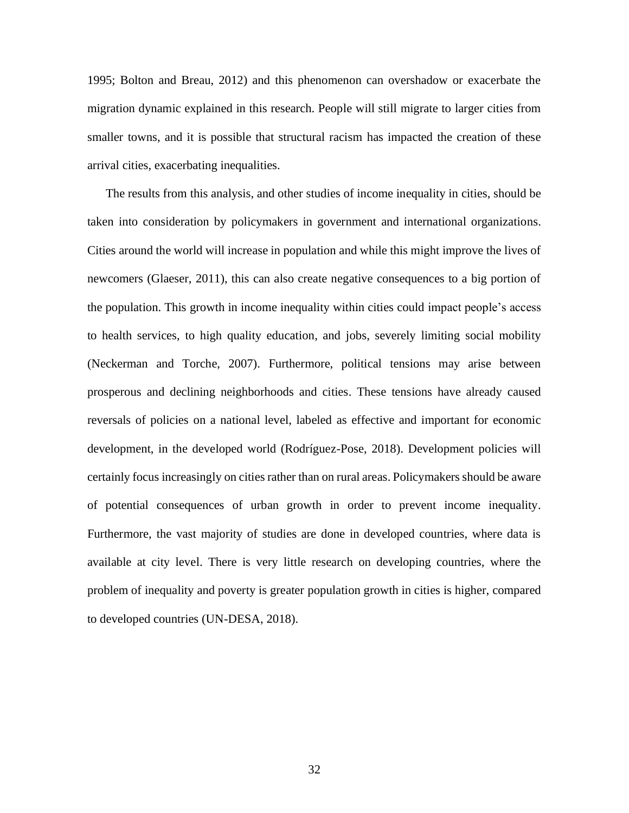1995; Bolton and Breau, 2012) and this phenomenon can overshadow or exacerbate the migration dynamic explained in this research. People will still migrate to larger cities from smaller towns, and it is possible that structural racism has impacted the creation of these arrival cities, exacerbating inequalities.

The results from this analysis, and other studies of income inequality in cities, should be taken into consideration by policymakers in government and international organizations. Cities around the world will increase in population and while this might improve the lives of newcomers (Glaeser, 2011), this can also create negative consequences to a big portion of the population. This growth in income inequality within cities could impact people's access to health services, to high quality education, and jobs, severely limiting social mobility (Neckerman and Torche, 2007). Furthermore, political tensions may arise between prosperous and declining neighborhoods and cities. These tensions have already caused reversals of policies on a national level, labeled as effective and important for economic development, in the developed world (Rodríguez-Pose, 2018). Development policies will certainly focus increasingly on cities rather than on rural areas. Policymakers should be aware of potential consequences of urban growth in order to prevent income inequality. Furthermore, the vast majority of studies are done in developed countries, where data is available at city level. There is very little research on developing countries, where the problem of inequality and poverty is greater population growth in cities is higher, compared to developed countries (UN-DESA, 2018).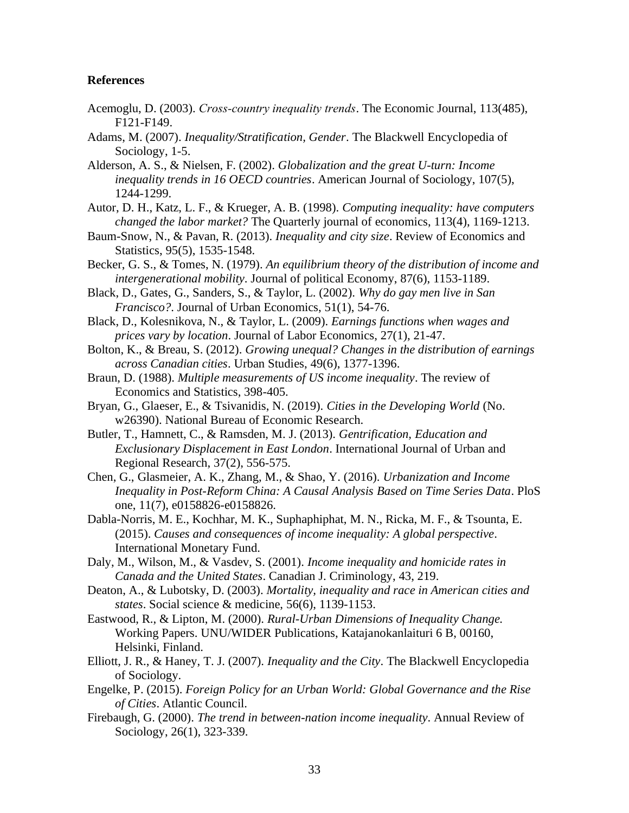### **References**

- Acemoglu, D. (2003). *Cross‐country inequality trends*. The Economic Journal, 113(485), F121-F149.
- Adams, M. (2007). *Inequality/Stratification, Gender*. The Blackwell Encyclopedia of Sociology, 1-5.
- Alderson, A. S., & Nielsen, F. (2002). *Globalization and the great U-turn: Income inequality trends in 16 OECD countries*. American Journal of Sociology, 107(5), 1244-1299.
- Autor, D. H., Katz, L. F., & Krueger, A. B. (1998). *Computing inequality: have computers changed the labor market?* The Quarterly journal of economics, 113(4), 1169-1213.
- Baum-Snow, N., & Pavan, R. (2013). *Inequality and city size*. Review of Economics and Statistics, 95(5), 1535-1548.
- Becker, G. S., & Tomes, N. (1979). *An equilibrium theory of the distribution of income and intergenerational mobility*. Journal of political Economy, 87(6), 1153-1189.
- Black, D., Gates, G., Sanders, S., & Taylor, L. (2002). *Why do gay men live in San Francisco?*. Journal of Urban Economics, 51(1), 54-76.
- Black, D., Kolesnikova, N., & Taylor, L. (2009). *Earnings functions when wages and prices vary by location*. Journal of Labor Economics, 27(1), 21-47.
- Bolton, K., & Breau, S. (2012). *Growing unequal? Changes in the distribution of earnings across Canadian cities*. Urban Studies, 49(6), 1377-1396.
- Braun, D. (1988). *Multiple measurements of US income inequality*. The review of Economics and Statistics, 398-405.
- Bryan, G., Glaeser, E., & Tsivanidis, N. (2019). *Cities in the Developing World* (No. w26390). National Bureau of Economic Research.
- Butler, T., Hamnett, C., & Ramsden, M. J. (2013). *Gentrification, Education and Exclusionary Displacement in East London*. International Journal of Urban and Regional Research, 37(2), 556-575.
- Chen, G., Glasmeier, A. K., Zhang, M., & Shao, Y. (2016). *Urbanization and Income Inequality in Post-Reform China: A Causal Analysis Based on Time Series Data*. PloS one, 11(7), e0158826-e0158826.
- Dabla-Norris, M. E., Kochhar, M. K., Suphaphiphat, M. N., Ricka, M. F., & Tsounta, E. (2015). *Causes and consequences of income inequality: A global perspective*. International Monetary Fund.
- Daly, M., Wilson, M., & Vasdev, S. (2001). *Income inequality and homicide rates in Canada and the United States*. Canadian J. Criminology, 43, 219.
- Deaton, A., & Lubotsky, D. (2003). *Mortality, inequality and race in American cities and states*. Social science & medicine, 56(6), 1139-1153.
- Eastwood, R., & Lipton, M. (2000). *Rural-Urban Dimensions of Inequality Change.* Working Papers. UNU/WIDER Publications, Katajanokanlaituri 6 B, 00160, Helsinki, Finland.
- Elliott, J. R., & Haney, T. J. (2007). *Inequality and the City*. The Blackwell Encyclopedia of Sociology.
- Engelke, P. (2015). *Foreign Policy for an Urban World: Global Governance and the Rise of Cities*. Atlantic Council.
- Firebaugh, G. (2000). *The trend in between-nation income inequality*. Annual Review of Sociology, 26(1), 323-339.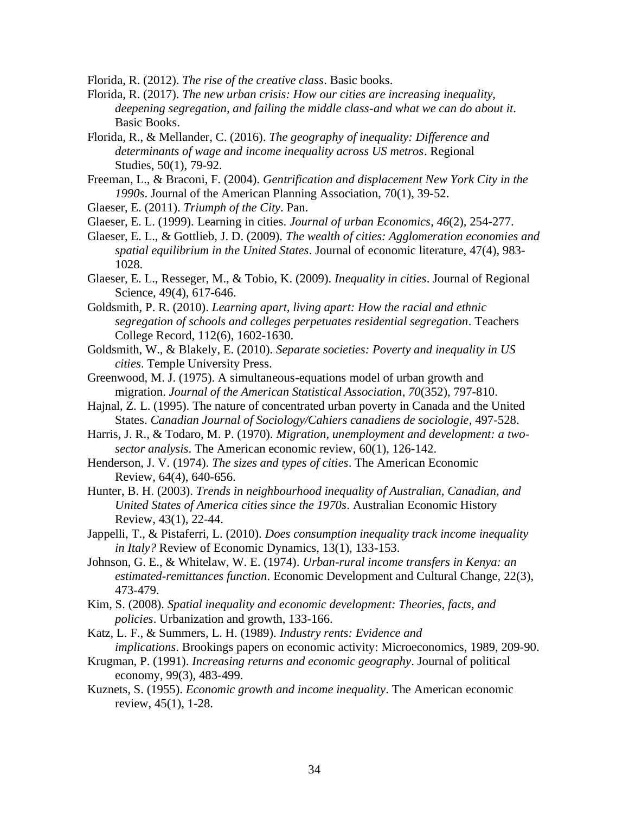Florida, R. (2012). *The rise of the creative class*. Basic books.

- Florida, R. (2017). *The new urban crisis: How our cities are increasing inequality, deepening segregation, and failing the middle class-and what we can do about it*. Basic Books.
- Florida, R., & Mellander, C. (2016). *The geography of inequality: Difference and determinants of wage and income inequality across US metros*. Regional Studies, 50(1), 79-92.
- Freeman, L., & Braconi, F. (2004). *Gentrification and displacement New York City in the 1990s*. Journal of the American Planning Association, 70(1), 39-52.
- Glaeser, E. (2011). *Triumph of the City*. Pan.
- Glaeser, E. L. (1999). Learning in cities. *Journal of urban Economics*, *46*(2), 254-277.
- Glaeser, E. L., & Gottlieb, J. D. (2009). *The wealth of cities: Agglomeration economies and spatial equilibrium in the United States*. Journal of economic literature, 47(4), 983- 1028.
- Glaeser, E. L., Resseger, M., & Tobio, K. (2009). *Inequality in cities*. Journal of Regional Science, 49(4), 617-646.
- Goldsmith, P. R. (2010). *Learning apart, living apart: How the racial and ethnic segregation of schools and colleges perpetuates residential segregation*. Teachers College Record, 112(6), 1602-1630.
- Goldsmith, W., & Blakely, E. (2010). *Separate societies: Poverty and inequality in US cities*. Temple University Press.
- Greenwood, M. J. (1975). A simultaneous-equations model of urban growth and migration. *Journal of the American Statistical Association*, *70*(352), 797-810.
- Hajnal, Z. L. (1995). The nature of concentrated urban poverty in Canada and the United States. *Canadian Journal of Sociology/Cahiers canadiens de sociologie*, 497-528.
- Harris, J. R., & Todaro, M. P. (1970). *Migration, unemployment and development: a twosector analysis*. The American economic review, 60(1), 126-142.
- Henderson, J. V. (1974). *The sizes and types of cities*. The American Economic Review, 64(4), 640-656.
- Hunter, B. H. (2003). *Trends in neighbourhood inequality of Australian, Canadian, and United States of America cities since the 1970s*. Australian Economic History Review, 43(1), 22-44.
- Jappelli, T., & Pistaferri, L. (2010). *Does consumption inequality track income inequality in Italy?* Review of Economic Dynamics, 13(1), 133-153.
- Johnson, G. E., & Whitelaw, W. E. (1974). *Urban-rural income transfers in Kenya: an estimated-remittances function*. Economic Development and Cultural Change, 22(3), 473-479.
- Kim, S. (2008). *Spatial inequality and economic development: Theories, facts, and policies*. Urbanization and growth, 133-166.
- Katz, L. F., & Summers, L. H. (1989). *Industry rents: Evidence and implications*. Brookings papers on economic activity: Microeconomics, 1989, 209-90.
- Krugman, P. (1991). *Increasing returns and economic geography*. Journal of political economy, 99(3), 483-499.
- Kuznets, S. (1955). *Economic growth and income inequality*. The American economic review, 45(1), 1-28.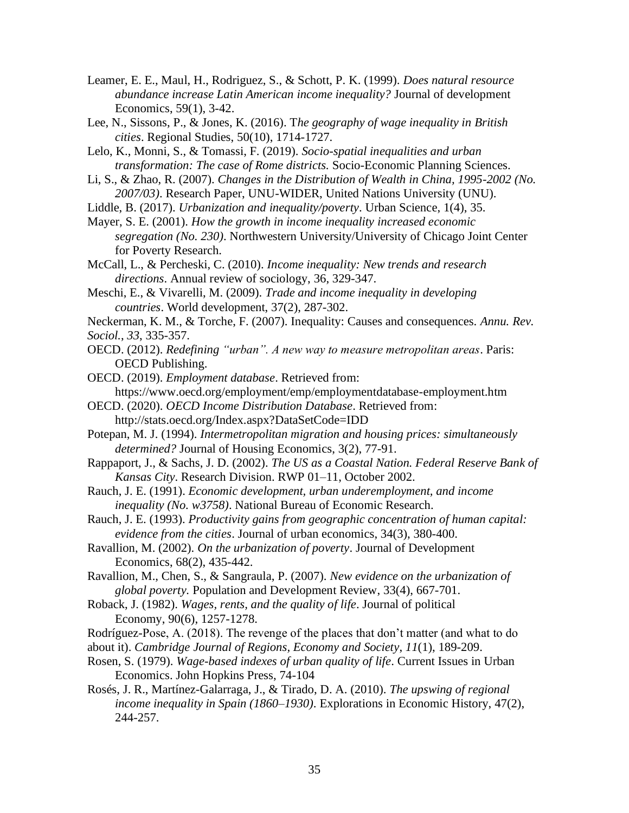- Leamer, E. E., Maul, H., Rodriguez, S., & Schott, P. K. (1999). *Does natural resource abundance increase Latin American income inequality?* Journal of development Economics, 59(1), 3-42.
- Lee, N., Sissons, P., & Jones, K. (2016). T*he geography of wage inequality in British cities*. Regional Studies, 50(10), 1714-1727.
- Lelo, K., Monni, S., & Tomassi, F. (2019). *Socio-spatial inequalities and urban transformation: The case of Rome districts.* Socio-Economic Planning Sciences.
- Li, S., & Zhao, R. (2007). *Changes in the Distribution of Wealth in China, 1995-2002 (No. 2007/03)*. Research Paper, UNU-WIDER, United Nations University (UNU).
- Liddle, B. (2017). *Urbanization and inequality/poverty*. Urban Science, 1(4), 35.

Mayer, S. E. (2001). *How the growth in income inequality increased economic segregation (No. 230)*. Northwestern University/University of Chicago Joint Center for Poverty Research.

McCall, L., & Percheski, C. (2010). *Income inequality: New trends and research directions*. Annual review of sociology, 36, 329-347.

Meschi, E., & Vivarelli, M. (2009). *Trade and income inequality in developing countries*. World development, 37(2), 287-302.

- Neckerman, K. M., & Torche, F. (2007). Inequality: Causes and consequences. *Annu. Rev.*
- *Sociol.*, *33*, 335-357.
- OECD. (2012). *Redefining "urban". A new way to measure metropolitan areas*. Paris: OECD Publishing.
- OECD. (2019). *Employment database*. Retrieved from: https://www.oecd.org/employment/emp/employmentdatabase-employment.htm
- OECD. (2020). *OECD Income Distribution Database*. Retrieved from: http://stats.oecd.org/Index.aspx?DataSetCode=IDD
- Potepan, M. J. (1994). *Intermetropolitan migration and housing prices: simultaneously determined?* Journal of Housing Economics, 3(2), 77-91.
- Rappaport, J., & Sachs, J. D. (2002). *The US as a Coastal Nation. Federal Reserve Bank of Kansas City*. Research Division. RWP 01–11, October 2002.
- Rauch, J. E. (1991). *Economic development, urban underemployment, and income inequality (No. w3758)*. National Bureau of Economic Research.
- Rauch, J. E. (1993). *Productivity gains from geographic concentration of human capital: evidence from the cities*. Journal of urban economics, 34(3), 380-400.
- Ravallion, M. (2002). *On the urbanization of poverty*. Journal of Development Economics, 68(2), 435-442.
- Ravallion, M., Chen, S., & Sangraula, P. (2007). *New evidence on the urbanization of global poverty.* Population and Development Review, 33(4), 667-701.
- Roback, J. (1982). *Wages, rents, and the quality of life*. Journal of political Economy, 90(6), 1257-1278.
- Rodríguez-Pose, A. (2018). The revenge of the places that don't matter (and what to do
- about it). *Cambridge Journal of Regions, Economy and Society*, *11*(1), 189-209.
- Rosen, S. (1979). *Wage-based indexes of urban quality of life*. Current Issues in Urban Economics. John Hopkins Press, 74-104
- Rosés, J. R., Martínez-Galarraga, J., & Tirado, D. A. (2010). *The upswing of regional income inequality in Spain (1860–1930)*. Explorations in Economic History, 47(2), 244-257.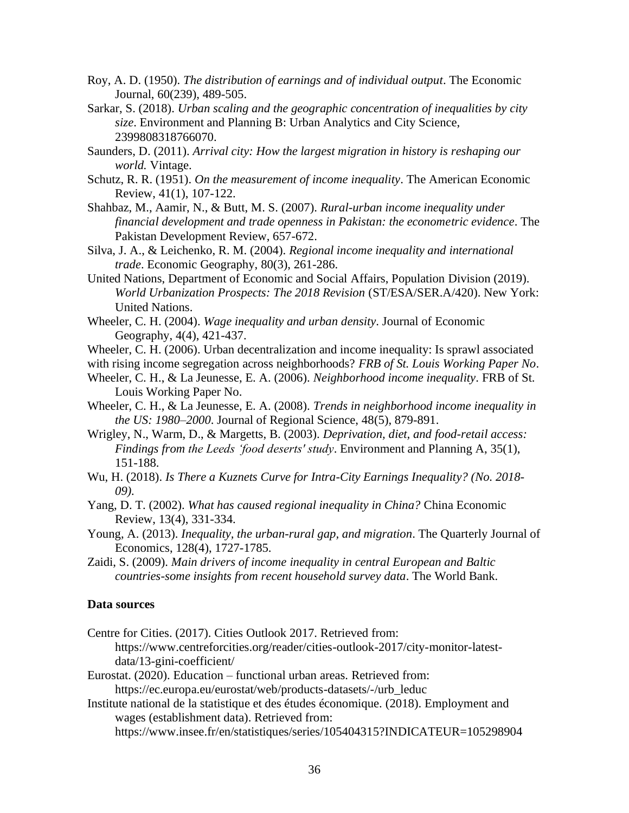- Roy, A. D. (1950). *The distribution of earnings and of individual output*. The Economic Journal, 60(239), 489-505.
- Sarkar, S. (2018). *Urban scaling and the geographic concentration of inequalities by city size*. Environment and Planning B: Urban Analytics and City Science, 2399808318766070.
- Saunders, D. (2011). *Arrival city: How the largest migration in history is reshaping our world.* Vintage.
- Schutz, R. R. (1951). *On the measurement of income inequality*. The American Economic Review, 41(1), 107-122.
- Shahbaz, M., Aamir, N., & Butt, M. S. (2007). *Rural-urban income inequality under financial development and trade openness in Pakistan: the econometric evidence*. The Pakistan Development Review, 657-672.
- Silva, J. A., & Leichenko, R. M. (2004). *Regional income inequality and international trade*. Economic Geography, 80(3), 261-286.
- United Nations, Department of Economic and Social Affairs, Population Division (2019). *World Urbanization Prospects: The 2018 Revision* (ST/ESA/SER.A/420). New York: United Nations.
- Wheeler, C. H. (2004). *Wage inequality and urban density*. Journal of Economic Geography, 4(4), 421-437.
- Wheeler, C. H. (2006). Urban decentralization and income inequality: Is sprawl associated
- with rising income segregation across neighborhoods? *FRB of St. Louis Working Paper No*.
- Wheeler, C. H., & La Jeunesse, E. A. (2006). *Neighborhood income inequality*. FRB of St. Louis Working Paper No.
- Wheeler, C. H., & La Jeunesse, E. A. (2008). *Trends in neighborhood income inequality in the US: 1980–2000*. Journal of Regional Science, 48(5), 879-891.
- Wrigley, N., Warm, D., & Margetts, B. (2003). *Deprivation, diet, and food-retail access: Findings from the Leeds 'food deserts' study*. Environment and Planning A, 35(1), 151-188.
- Wu, H. (2018). *Is There a Kuznets Curve for Intra-City Earnings Inequality? (No. 2018- 09).*
- Yang, D. T. (2002). *What has caused regional inequality in China?* China Economic Review, 13(4), 331-334.
- Young, A. (2013). *Inequality, the urban-rural gap, and migration*. The Quarterly Journal of Economics, 128(4), 1727-1785.
- Zaidi, S. (2009). *Main drivers of income inequality in central European and Baltic countries-some insights from recent household survey data*. The World Bank.

## **Data sources**

- Centre for Cities. (2017). Cities Outlook 2017. Retrieved from:
	- https://www.centreforcities.org/reader/cities-outlook-2017/city-monitor-latestdata/13-gini-coefficient/
- Eurostat. (2020). Education functional urban areas. Retrieved from: https://ec.europa.eu/eurostat/web/products-datasets/-/urb\_leduc
- Institute national de la statistique et des études économique. (2018). Employment and wages (establishment data). Retrieved from:

https://www.insee.fr/en/statistiques/series/105404315?INDICATEUR=105298904